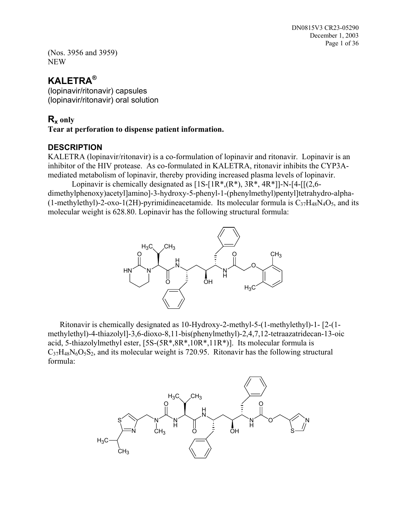(Nos. 3956 and 3959) NEW

# **KALETRA®**

(lopinavir/ritonavir) capsules (lopinavir/ritonavir) oral solution

# **Rx only**

**Tear at perforation to dispense patient information.**

## **DESCRIPTION**

KALETRA (lopinavir/ritonavir) is a co-formulation of lopinavir and ritonavir. Lopinavir is an inhibitor of the HIV protease. As co-formulated in KALETRA, ritonavir inhibits the CYP3Amediated metabolism of lopinavir, thereby providing increased plasma levels of lopinavir.

Lopinavir is chemically designated as  $[1S-[1R^*, (R^*)]$ ,  $3R^*, 4R^*]$ ]-N- $[4-[1(2,6-1)]$ dimethylphenoxy)acetyl]amino]-3-hydroxy-5-phenyl-1-(phenylmethyl)pentyl]tetrahydro-alpha- (1-methylethyl)-2-oxo-1(2H)-pyrimidineacetamide. Its molecular formula is  $C_{37}H_{48}N_4O_5$ , and its molecular weight is 628.80. Lopinavir has the following structural formula:



Ritonavir is chemically designated as 10-Hydroxy-2-methyl-5-(1-methylethyl)-1- [2-(1 methylethyl)-4-thiazolyl]-3,6-dioxo-8,11-bis(phenylmethyl)-2,4,7,12-tetraazatridecan-13-oic acid, 5-thiazolylmethyl ester, [5S-(5R\*,8R\*,10R\*,11R\*)]. Its molecular formula is  $C_{37}H_{48}N_6O_5S_2$ , and its molecular weight is 720.95. Ritonavir has the following structural formula:

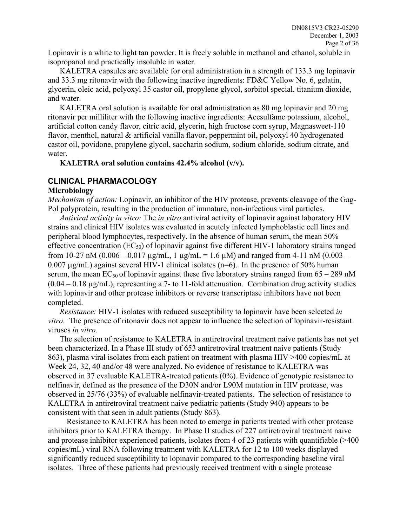Lopinavir is a white to light tan powder. It is freely soluble in methanol and ethanol, soluble in isopropanol and practically insoluble in water.

KALETRA capsules are available for oral administration in a strength of 133.3 mg lopinavir and 33.3 mg ritonavir with the following inactive ingredients: FD&C Yellow No. 6, gelatin, glycerin, oleic acid, polyoxyl 35 castor oil, propylene glycol, sorbitol special, titanium dioxide, and water.

KALETRA oral solution is available for oral administration as 80 mg lopinavir and 20 mg ritonavir per milliliter with the following inactive ingredients: Acesulfame potassium, alcohol, artificial cotton candy flavor, citric acid, glycerin, high fructose corn syrup, Magnasweet-110 flavor, menthol, natural & artificial vanilla flavor, peppermint oil, polyoxyl 40 hydrogenated castor oil, povidone, propylene glycol, saccharin sodium, sodium chloride, sodium citrate, and water.

**KALETRA oral solution contains 42.4% alcohol (v/v).**

## **CLINICAL PHARMACOLOGY**

### **Microbiology**

*Mechanism of action:* Lopinavir, an inhibitor of the HIV protease, prevents cleavage of the Gag-Pol polyprotein, resulting in the production of immature, non-infectious viral particles.

*Antiviral activity in vitro:* The *in vitro* antiviral activity of lopinavir against laboratory HIV strains and clinical HIV isolates was evaluated in acutely infected lymphoblastic cell lines and peripheral blood lymphocytes, respectively. In the absence of human serum, the mean 50% effective concentration  $(EC_{50})$  of lopinavir against five different HIV-1 laboratory strains ranged from 10-27 nM (0.006 – 0.017  $\mu$ g/mL, 1  $\mu$ g/mL = 1.6  $\mu$ M) and ranged from 4-11 nM (0.003 – 0.007  $\mu$ g/mL) against several HIV-1 clinical isolates (n=6). In the presence of 50% human serum, the mean  $EC_{50}$  of lopinavir against these five laboratory strains ranged from 65 – 289 nM  $(0.04 - 0.18 \text{ µg/mL})$ , representing a 7- to 11-fold attenuation. Combination drug activity studies with lopinavir and other protease inhibitors or reverse transcriptase inhibitors have not been completed.

*Resistance:* HIV-1 isolates with reduced susceptibility to lopinavir have been selected *in vitro*. The presence of ritonavir does not appear to influence the selection of lopinavir-resistant viruses *in vitro*.

The selection of resistance to KALETRA in antiretroviral treatment naive patients has not yet been characterized. In a Phase III study of 653 antiretroviral treatment naive patients (Study 863), plasma viral isolates from each patient on treatment with plasma HIV >400 copies/mL at Week 24, 32, 40 and/or 48 were analyzed. No evidence of resistance to KALETRA was observed in 37 evaluable KALETRA-treated patients (0%). Evidence of genotypic resistance to nelfinavir, defined as the presence of the D30N and/or L90M mutation in HIV protease, was observed in 25/76 (33%) of evaluable nelfinavir-treated patients. The selection of resistance to KALETRA in antiretroviral treatment naive pediatric patients (Study 940) appears to be consistent with that seen in adult patients (Study 863).

Resistance to KALETRA has been noted to emerge in patients treated with other protease inhibitors prior to KALETRA therapy. In Phase II studies of 227 antiretroviral treatment naive and protease inhibitor experienced patients, isolates from 4 of 23 patients with quantifiable (>400 copies/mL) viral RNA following treatment with KALETRA for 12 to 100 weeks displayed significantly reduced susceptibility to lopinavir compared to the corresponding baseline viral isolates. Three of these patients had previously received treatment with a single protease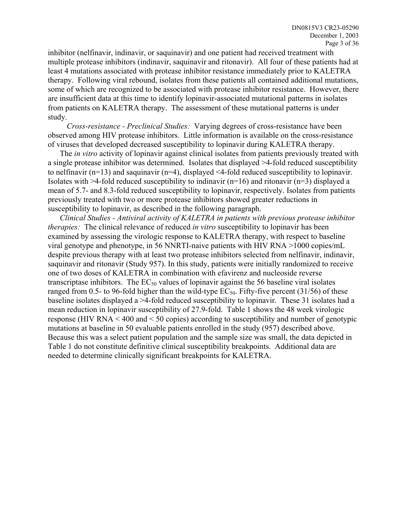inhibitor (nelfinavir, indinavir, or saquinavir) and one patient had received treatment with multiple protease inhibitors (indinavir, saquinavir and ritonavir). All four of these patients had at least 4 mutations associated with protease inhibitor resistance immediately prior to KALETRA therapy. Following viral rebound, isolates from these patients all contained additional mutations, some of which are recognized to be associated with protease inhibitor resistance. However, there are insufficient data at this time to identify lopinavir-associated mutational patterns in isolates from patients on KALETRA therapy. The assessment of these mutational patterns is under study.

*Cross-resistance - Preclinical Studies:* Varying degrees of cross-resistance have been observed among HIV protease inhibitors. Little information is available on the cross-resistance of viruses that developed decreased susceptibility to lopinavir during KALETRA therapy.

The *in vitro* activity of lopinavir against clinical isolates from patients previously treated with a single protease inhibitor was determined. Isolates that displayed >4-fold reduced susceptibility to nelfinavir (n=13) and saquinavir (n=4), displayed <4-fold reduced susceptibility to lopinavir. Isolates with >4-fold reduced susceptibility to indinavir (n=16) and ritonavir (n=3) displayed a mean of 5.7- and 8.3-fold reduced susceptibility to lopinavir, respectively. Isolates from patients previously treated with two or more protease inhibitors showed greater reductions in susceptibility to lopinavir, as described in the following paragraph.

*Clinical Studies - Antiviral activity of KALETRA in patients with previous protease inhibitor therapies:* The clinical relevance of reduced *in vitro* susceptibility to lopinavir has been examined by assessing the virologic response to KALETRA therapy, with respect to baseline viral genotype and phenotype, in 56 NNRTI-naive patients with HIV RNA >1000 copies/mL despite previous therapy with at least two protease inhibitors selected from nelfinavir, indinavir, saquinavir and ritonavir (Study 957). In this study, patients were initially randomized to receive one of two doses of KALETRA in combination with efavirenz and nucleoside reverse transcriptase inhibitors. The  $EC_{50}$  values of lopinavir against the 56 baseline viral isolates ranged from 0.5- to 96-fold higher than the wild-type  $EC_{50}$ . Fifty-five percent (31/56) of these baseline isolates displayed a >4-fold reduced susceptibility to lopinavir. These 31 isolates had a mean reduction in lopinavir susceptibility of 27.9-fold. Table 1 shows the 48 week virologic response (HIV RNA < 400 and < 50 copies) according to susceptibility and number of genotypic mutations at baseline in 50 evaluable patients enrolled in the study (957) described above. Because this was a select patient population and the sample size was small, the data depicted in Table 1 do not constitute definitive clinical susceptibility breakpoints. Additional data are needed to determine clinically significant breakpoints for KALETRA.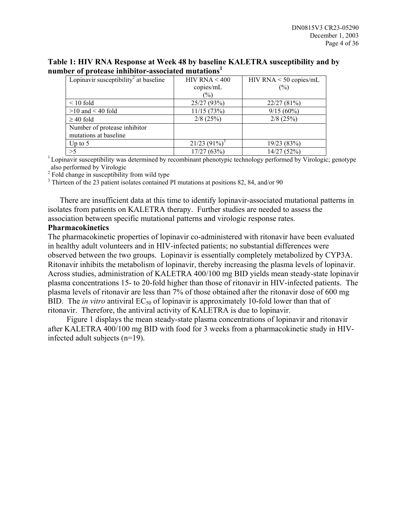| Table 1: HIV RNA Response at Week 48 by baseline KALETRA susceptibility and by |  |
|--------------------------------------------------------------------------------|--|
| number of protease inhibitor-associated mutations <sup>1</sup>                 |  |

| Lopinavir susceptibility <sup>2</sup> at baseline | HIV RNA $<$ 400    | HIV RNA $<$ 50 copies/mL |
|---------------------------------------------------|--------------------|--------------------------|
|                                                   | copies/mL          | (%)                      |
|                                                   | $\binom{0}{0}$     |                          |
| $\leq 10$ fold                                    | 25/27 (93%)        | 22/27(81%)               |
| $>10$ and $< 40$ fold                             | 11/15(73%)         | $9/15(60\%)$             |
| $\geq$ 40 fold                                    | $2/8$ (25%)        | $2/8$ (25%)              |
| Number of protease inhibitor                      |                    |                          |
| mutations at baseline                             |                    |                          |
| Up to $5$                                         | $21/23$ $(91\%)^3$ | 19/23 (83%)              |
| >5                                                | 17/27(63%)         | 14/27(52%)               |

<sup>1</sup> Lopinavir susceptibility was determined by recombinant phenotypic technology performed by Virologic; genotype also performed by Virologic

<sup>2</sup> Fold change in susceptibility from wild type

<sup>3</sup> Thirteen of the 23 patient isolates contained PI mutations at positions 82, 84, and/or 90

There are insufficient data at this time to identify lopinavir-associated mutational patterns in isolates from patients on KALETRA therapy. Further studies are needed to assess the association between specific mutational patterns and virologic response rates.

#### **Pharmacokinetics**

The pharmacokinetic properties of lopinavir co-administered with ritonavir have been evaluated in healthy adult volunteers and in HIV-infected patients; no substantial differences were observed between the two groups. Lopinavir is essentially completely metabolized by CYP3A. Ritonavir inhibits the metabolism of lopinavir, thereby increasing the plasma levels of lopinavir. Across studies, administration of KALETRA 400/100 mg BID yields mean steady-state lopinavir plasma concentrations 15- to 20-fold higher than those of ritonavir in HIV-infected patients. The plasma levels of ritonavir are less than 7% of those obtained after the ritonavir dose of 600 mg BID. The *in vitro* antiviral  $EC_{50}$  of lopinavir is approximately 10-fold lower than that of ritonavir. Therefore, the antiviral activity of KALETRA is due to lopinavir.

Figure 1 displays the mean steady-state plasma concentrations of lopinavir and ritonavir after KALETRA 400/100 mg BID with food for 3 weeks from a pharmacokinetic study in HIVinfected adult subjects (n=19).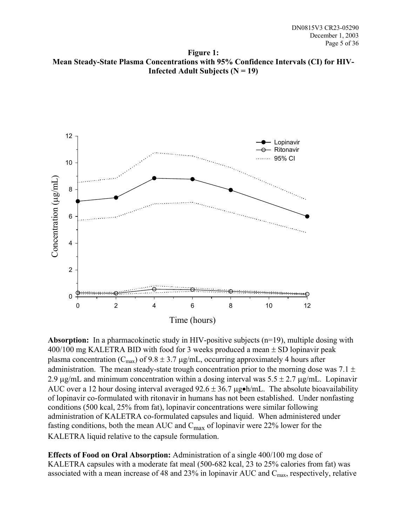**Figure 1: Mean Steady-State Plasma Concentrations with 95% Confidence Intervals (CI) for HIV-Infected Adult Subjects (N = 19)**



Absorption: In a pharmacokinetic study in HIV-positive subjects (n=19), multiple dosing with  $400/100$  mg KALETRA BID with food for 3 weeks produced a mean  $\pm$  SD lopinavir peak plasma concentration ( $C_{\text{max}}$ ) of 9.8 ± 3.7 µg/mL, occurring approximately 4 hours after administration. The mean steady-state trough concentration prior to the morning dose was 7.1  $\pm$ 2.9  $\mu$ g/mL and minimum concentration within a dosing interval was  $5.5 \pm 2.7 \mu$ g/mL. Lopinavir AUC over a 12 hour dosing interval averaged  $92.6 \pm 36.7$  ug•h/mL. The absolute bioavailability of lopinavir co-formulated with ritonavir in humans has not been established. Under nonfasting conditions (500 kcal, 25% from fat), lopinavir concentrations were similar following administration of KALETRA co-formulated capsules and liquid. When administered under fasting conditions, both the mean AUC and  $C_{\text{max}}$  of lopinavir were 22% lower for the KALETRA liquid relative to the capsule formulation.

**Effects of Food on Oral Absorption:** Administration of a single 400/100 mg dose of KALETRA capsules with a moderate fat meal (500-682 kcal, 23 to 25% calories from fat) was associated with a mean increase of 48 and 23% in lopinavir AUC and  $C_{\text{max}}$ , respectively, relative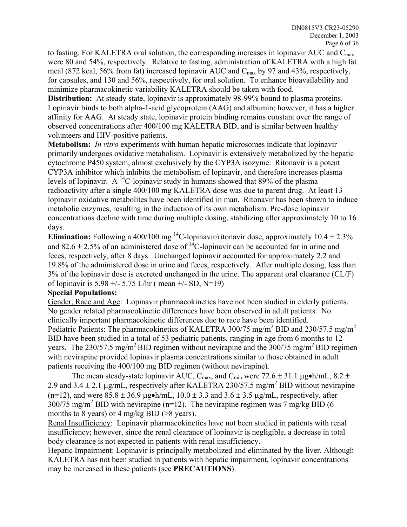to fasting. For KALETRA oral solution, the corresponding increases in lopinavir AUC and C<sub>max</sub> were 80 and 54%, respectively. Relative to fasting, administration of KALETRA with a high fat meal (872 kcal, 56% from fat) increased lopinavir AUC and  $C_{\text{max}}$  by 97 and 43%, respectively, for capsules, and 130 and 56%, respectively, for oral solution. To enhance bioavailability and minimize pharmacokinetic variability KALETRA should be taken with food.

**Distribution:** At steady state, lopinavir is approximately 98-99% bound to plasma proteins. Lopinavir binds to both alpha-1-acid glycoprotein (AAG) and albumin; however, it has a higher affinity for AAG. At steady state, lopinavir protein binding remains constant over the range of observed concentrations after 400/100 mg KALETRA BID, and is similar between healthy volunteers and HIV-positive patients.

**Metabolism:** *In vitro* experiments with human hepatic microsomes indicate that lopinavir primarily undergoes oxidative metabolism. Lopinavir is extensively metabolized by the hepatic cytochrome P450 system, almost exclusively by the CYP3A isozyme. Ritonavir is a potent CYP3A inhibitor which inhibits the metabolism of lopinavir, and therefore increases plasma levels of lopinavir. A <sup>14</sup>C-lopinavir study in humans showed that 89% of the plasma radioactivity after a single 400/100 mg KALETRA dose was due to parent drug. At least 13 lopinavir oxidative metabolites have been identified in man. Ritonavir has been shown to induce metabolic enzymes, resulting in the induction of its own metabolism. Pre-dose lopinavir concentrations decline with time during multiple dosing, stabilizing after approximately 10 to 16 days.

**Elimination:** Following a 400/100 mg <sup>14</sup>C-lopinavir/ritonavir dose, approximately  $10.4 \pm 2.3\%$ and  $82.6 \pm 2.5\%$  of an administered dose of  $^{14}$ C-lopinavir can be accounted for in urine and feces, respectively, after 8 days. Unchanged lopinavir accounted for approximately 2.2 and 19.8% of the administered dose in urine and feces, respectively. After multiple dosing, less than 3% of the lopinavir dose is excreted unchanged in the urine. The apparent oral clearance (CL/F) of lopinavir is  $5.98 +/- 5.75$  L/hr (mean  $+/-$  SD, N=19)

## **Special Populations:**

Gender, Race and Age: Lopinavir pharmacokinetics have not been studied in elderly patients. No gender related pharmacokinetic differences have been observed in adult patients. No clinically important pharmacokinetic differences due to race have been identified. Pediatric Patients: The pharmacokinetics of KALETRA 300/75 mg/m<sup>2</sup> BID and 230/57.5 mg/m<sup>2</sup> BID have been studied in a total of 53 pediatric patients, ranging in age from 6 months to 12 years. The 230/57.5 mg/m<sup>2</sup> BID regimen without nevirapine and the 300/75 mg/m<sup>2</sup> BID regimen with nevirapine provided lopinavir plasma concentrations similar to those obtained in adult patients receiving the 400/100 mg BID regimen (without nevirapine).

The mean steady-state lopinavir AUC,  $C_{\text{max}}$ , and  $C_{\text{min}}$  were 72.6  $\pm$  31.1 µg•h/mL, 8.2  $\pm$ 2.9 and 3.4  $\pm$  2.1 µg/mL, respectively after KALETRA 230/57.5 mg/m<sup>2</sup> BID without nevirapine (n=12), and were  $85.8 \pm 36.9$  µg•h/mL,  $10.0 \pm 3.3$  and  $3.6 \pm 3.5$  µg/mL, respectively, after  $300/75$  mg/m<sup>2</sup> BID with nevirapine (n=12). The nevirapine regimen was 7 mg/kg BID (6 months to 8 years) or 4 mg/kg BID (>8 years).

Renal Insufficiency: Lopinavir pharmacokinetics have not been studied in patients with renal insufficiency; however, since the renal clearance of lopinavir is negligible, a decrease in total body clearance is not expected in patients with renal insufficiency.

Hepatic Impairment: Lopinavir is principally metabolized and eliminated by the liver. Although KALETRA has not been studied in patients with hepatic impairment, lopinavir concentrations may be increased in these patients (see **PRECAUTIONS**).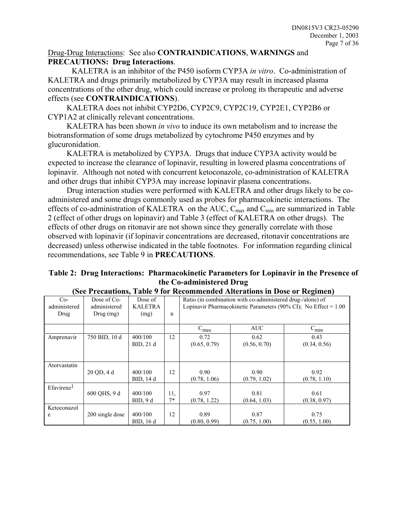#### Drug-Drug Interactions: See also **CONTRAINDICATIONS**, **WARNINGS** and **PRECAUTIONS: Drug Interactions**.

KALETRA is an inhibitor of the P450 isoform CYP3A *in vitro*. Co-administration of KALETRA and drugs primarily metabolized by CYP3A may result in increased plasma concentrations of the other drug, which could increase or prolong its therapeutic and adverse effects (see **CONTRAINDICATIONS**).

KALETRA does not inhibit CYP2D6, CYP2C9, CYP2C19, CYP2E1, CYP2B6 or CYP1A2 at clinically relevant concentrations.

KALETRA has been shown *in vivo* to induce its own metabolism and to increase the biotransformation of some drugs metabolized by cytochrome P450 enzymes and by glucuronidation.

KALETRA is metabolized by CYP3A. Drugs that induce CYP3A activity would be expected to increase the clearance of lopinavir, resulting in lowered plasma concentrations of lopinavir. Although not noted with concurrent ketoconazole, co-administration of KALETRA and other drugs that inhibit CYP3A may increase lopinavir plasma concentrations.

Drug interaction studies were performed with KALETRA and other drugs likely to be coadministered and some drugs commonly used as probes for pharmacokinetic interactions. The effects of co-administration of KALETRA on the AUC, C<sub>max</sub> and C<sub>min</sub> are summarized in Table 2 (effect of other drugs on lopinavir) and Table 3 (effect of KALETRA on other drugs). The effects of other drugs on ritonavir are not shown since they generally correlate with those observed with lopinavir (if lopinavir concentrations are decreased, ritonavir concentrations are decreased) unless otherwise indicated in the table footnotes. For information regarding clinical recommendations, see Table 9 in **PRECAUTIONS**.

#### **Table 2: Drug Interactions: Pharmacokinetic Parameters for Lopinavir in the Presence of the Co-administered Drug (See Precautions, Table 9 for Recommended Alterations in Dose or Regimen)**

|                        |                 |                      |      |                                                                   | $\sim$ . The matrix of the contract of the commutation of the case of the minimal |                      |  |  |  |
|------------------------|-----------------|----------------------|------|-------------------------------------------------------------------|-----------------------------------------------------------------------------------|----------------------|--|--|--|
| $Co-$                  | Dose of Co-     | Dose of              |      | Ratio (in combination with co-administered drug-/alone) of        |                                                                                   |                      |  |  |  |
| administered           | administered    | <b>KALETRA</b>       |      | Lopinavir Pharmacokinetic Parameters (90% CI); No Effect = $1.00$ |                                                                                   |                      |  |  |  |
| Drug                   | Drug (mg)       | (mg)                 | n    |                                                                   |                                                                                   |                      |  |  |  |
|                        |                 |                      |      | $C_{\text{max}}$                                                  | <b>AUC</b>                                                                        | $C_{\text{min}}$     |  |  |  |
| Amprenavir             | 750 BID, 10 d   | 400/100              | 12   | 0.72                                                              | 0.62                                                                              | 0.43                 |  |  |  |
|                        |                 | BID, 21 d            |      | (0.65, 0.79)                                                      | (0.56, 0.70)                                                                      | (0.34, 0.56)         |  |  |  |
| Atorvastatin           |                 |                      |      |                                                                   |                                                                                   |                      |  |  |  |
|                        | 20 QD, 4 d      | 400/100<br>BID, 14 d | 12   | 0.90<br>(0.78, 1.06)                                              | 0.90<br>(0.79, 1.02)                                                              | 0.92<br>(0.78, 1.10) |  |  |  |
| Efavirenz <sup>1</sup> |                 |                      |      |                                                                   |                                                                                   |                      |  |  |  |
|                        | 600 QHS, 9 d    | 400/100              | 11,  | 0.97                                                              | 0.81                                                                              | 0.61                 |  |  |  |
|                        |                 | BID, 9d              | $7*$ | (0.78, 1.22)                                                      | (0.64, 1.03)                                                                      | (0.38, 0.97)         |  |  |  |
| Ketoconazol            |                 |                      |      |                                                                   |                                                                                   |                      |  |  |  |
| e                      | 200 single dose | 400/100              | 12   | 0.89                                                              | 0.87                                                                              | 0.75                 |  |  |  |
|                        |                 | BID, 16 d            |      | (0.80, 0.99)                                                      | (0.75, 1.00)                                                                      | (0.55, 1.00)         |  |  |  |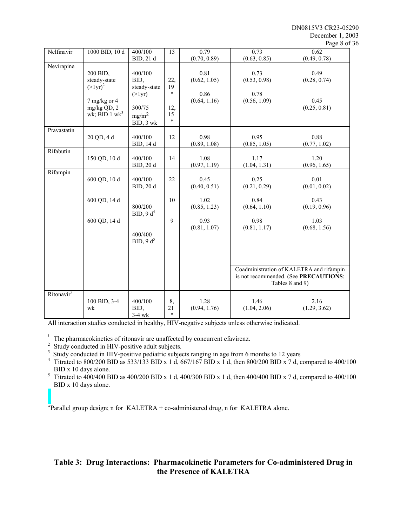DN0815V3 CR23-05290

| Nelfinavir             | 1000 BID, 10 d                                                                                                              | 400/100<br>BID, 21 d                                                                  | 13                                         | 0.79<br>(0.70, 0.89)                         | 0.73<br>(0.63, 0.85)                         | $100 - 100$<br>0.62<br>(0.49, 0.78)                                                                  |
|------------------------|-----------------------------------------------------------------------------------------------------------------------------|---------------------------------------------------------------------------------------|--------------------------------------------|----------------------------------------------|----------------------------------------------|------------------------------------------------------------------------------------------------------|
| Nevirapine             | 200 BID,<br>steady-state<br>$(>1 \,\mathrm{yr})^2$<br>7 mg/kg or 4<br>mg/kg QD, 2<br>wk; $\overline{BID} 1$ wk <sup>3</sup> | 400/100<br>BID,<br>steady-state<br>(>1yr)<br>300/75<br>mg/m <sup>2</sup><br>BID, 3 wk | 22,<br>19<br>$\ast$<br>12,<br>15<br>$\ast$ | 0.81<br>(0.62, 1.05)<br>0.86<br>(0.64, 1.16) | 0.73<br>(0.53, 0.98)<br>0.78<br>(0.56, 1.09) | 0.49<br>(0.28, 0.74)<br>0.45<br>(0.25, 0.81)                                                         |
| Pravastatin            | 20 QD, 4 d                                                                                                                  | 400/100<br>BID, 14 d                                                                  | 12                                         | 0.98<br>(0.89, 1.08)                         | 0.95<br>(0.85, 1.05)                         | 0.88<br>(0.77, 1.02)                                                                                 |
| Rifabutin              | 150 QD, 10 d                                                                                                                | 400/100<br>BID, 20 d                                                                  | 14                                         | 1.08<br>(0.97, 1.19)                         | 1.17<br>(1.04, 1.31)                         | 1.20<br>(0.96, 1.65)                                                                                 |
| Rifampin               | 600 QD, 10 d                                                                                                                | 400/100<br>BID, 20 d                                                                  | 22                                         | 0.45<br>(0.40, 0.51)                         | 0.25<br>(0.21, 0.29)                         | 0.01<br>(0.01, 0.02)                                                                                 |
|                        | 600 QD, 14 d                                                                                                                | 800/200<br>BID, $9d4$                                                                 | 10                                         | 1.02<br>(0.85, 1.23)                         | 0.84<br>(0.64, 1.10)                         | 0.43<br>(0.19, 0.96)                                                                                 |
|                        | 600 QD, 14 d                                                                                                                | 400/400<br>BID, $9d^5$                                                                | 9                                          | 0.93<br>(0.81, 1.07)                         | 0.98<br>(0.81, 1.17)                         | 1.03<br>(0.68, 1.56)                                                                                 |
|                        |                                                                                                                             |                                                                                       |                                            |                                              |                                              | Coadministration of KALETRA and rifampin<br>is not recommended. (See PRECAUTIONS:<br>Tables 8 and 9) |
| Ritonavir <sup>2</sup> | 100 BID, 3-4<br>wk                                                                                                          | 400/100<br>BID,<br>$3-4$ wk                                                           | 8,<br>21<br>$\ast$                         | 1.28<br>(0.94, 1.76)                         | 1.46<br>(1.04, 2.06)                         | 2.16<br>(1.29, 3.62)                                                                                 |

All interaction studies conducted in healthy, HIV-negative subjects unless otherwise indicated.

<sup>1</sup> The pharmacokinetics of ritonavir are unaffected by concurrent efavirenz.

<sup>2</sup><br>Study conducted in HIV-positive adult subjects.<br><sup>3</sup><br>Titrated to 800/200 BID as 533/133 BID x 1 d, 667/167 BID x 1 d, then 800/200 BID x 7 d, compared to 400/100<br>BID x 10 days alone.

 $\frac{5}{100}$  Titrated to 400/400 BID as 400/200 BID x 1 d, 400/300 BID x 1 d, then 400/400 BID x 7 d, compared to 400/100 BID x 10 days alone.

\*Parallel group design; n for KALETRA + co-administered drug, n for KALETRA alone.

## **Table 3: Drug Interactions: Pharmacokinetic Parameters for Co-administered Drug in the Presence of KALETRA**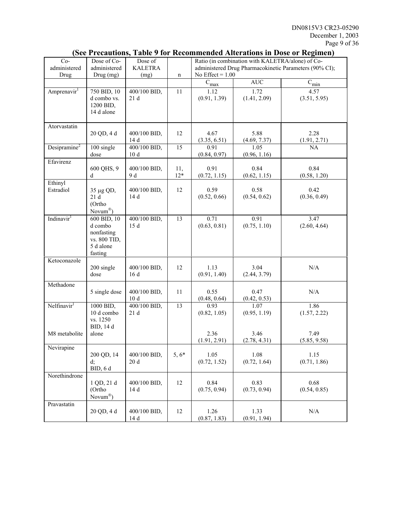|                          |                        |                      |        |                             |                                                  | (See Precautions, Table 9 for Recommended Alterations in Dose or Regimen) |
|--------------------------|------------------------|----------------------|--------|-----------------------------|--------------------------------------------------|---------------------------------------------------------------------------|
| $Co-$                    | Dose of Co-            | Dose of              |        |                             | Ratio (in combination with KALETRA/alone) of Co- |                                                                           |
| administered             | administered           | <b>KALETRA</b>       |        |                             |                                                  | administered Drug Pharmacokinetic Parameters (90% CI);                    |
| Drug                     | Drug (mg)              | (mg)                 | n      | No Effect = $1.00$          |                                                  |                                                                           |
|                          |                        |                      |        | $\overline{C}_{\text{max}}$ | <b>AUC</b>                                       | $C_{\text{min}}$                                                          |
| Amprenavir <sup>1</sup>  | 750 BID, 10            | 400/100 BID,         | 11     | 1.12                        | 1.72                                             | 4.57                                                                      |
|                          | d combo vs.            | 21d                  |        | (0.91, 1.39)                | (1.41, 2.09)                                     | (3.51, 5.95)                                                              |
|                          | 1200 BID,              |                      |        |                             |                                                  |                                                                           |
|                          | 14 d alone             |                      |        |                             |                                                  |                                                                           |
|                          |                        |                      |        |                             |                                                  |                                                                           |
| Atorvastatin             | 20 QD, 4 d             | 400/100 BID,         | 12     | 4.67                        | 5.88                                             | 2.28                                                                      |
|                          |                        | 14 d                 |        | (3.35, 6.51)                | (4.69, 7.37)                                     | (1.91, 2.71)                                                              |
| Desipramine <sup>2</sup> | 100 single             | 400/100 BID,         | 15     | 0.91                        | 1.05                                             | NA                                                                        |
|                          | dose                   | 10d                  |        | (0.84, 0.97)                | (0.96, 1.16)                                     |                                                                           |
| Efavirenz                |                        |                      |        |                             |                                                  |                                                                           |
|                          | 600 QHS, 9             | 400/100 BID,         | 11,    | 0.91                        | 0.84                                             | 0.84                                                                      |
|                          | d                      | 9 d                  | $12*$  | (0.72, 1.15)                | (0.62, 1.15)                                     | (0.58, 1.20)                                                              |
| Ethinyl                  |                        |                      |        |                             |                                                  |                                                                           |
| Estradiol                | 35 µg QD,              | 400/100 BID,         | 12     | 0.59                        | 0.58                                             | 0.42                                                                      |
|                          | 21d                    | 14 d                 |        | (0.52, 0.66)                | (0.54, 0.62)                                     | (0.36, 0.49)                                                              |
|                          | (Ortho                 |                      |        |                             |                                                  |                                                                           |
|                          | Novum®)                |                      |        |                             |                                                  |                                                                           |
| Indinavir <sup>1</sup>   | 600 BID, 10<br>d combo | 400/100 BID,<br>15 d | 13     | 0.71<br>(0.63, 0.81)        | 0.91<br>(0.75, 1.10)                             | 3.47<br>(2.60, 4.64)                                                      |
|                          | nonfasting             |                      |        |                             |                                                  |                                                                           |
|                          | vs. 800 TID,           |                      |        |                             |                                                  |                                                                           |
|                          | 5 d alone              |                      |        |                             |                                                  |                                                                           |
|                          | fasting                |                      |        |                             |                                                  |                                                                           |
| Ketoconazole             |                        |                      |        |                             |                                                  |                                                                           |
|                          | 200 single             | 400/100 BID,         | 12     | 1.13                        | 3.04                                             | N/A                                                                       |
|                          | dose                   | 16d                  |        | (0.91, 1.40)                | (2.44, 3.79)                                     |                                                                           |
| Methadone                |                        |                      |        |                             |                                                  |                                                                           |
|                          | 5 single dose          | 400/100 BID,         | 11     | 0.55                        | 0.47                                             | N/A                                                                       |
|                          |                        | 10d                  |        | (0.48, 0.64)                | (0.42, 0.53)                                     |                                                                           |
| Nelfinavir <sup>1</sup>  | 1000 BID,              | 400/100 BID,         | 13     | 0.93                        | 1.07                                             | 1.86                                                                      |
|                          | 10 d combo             | 21 d                 |        | (0.82, 1.05)                | (0.95, 1.19)                                     | (1.57, 2.22)                                                              |
|                          | vs. 1250<br>BID, 14 d  |                      |        |                             |                                                  |                                                                           |
| M8 metabolite            | alone                  |                      |        | 2.36                        | 3.46                                             | 7.49                                                                      |
|                          |                        |                      |        | (1.91, 2.91)                | (2.78, 4.31)                                     | (5.85, 9.58)                                                              |
| Nevirapine               |                        |                      |        |                             |                                                  |                                                                           |
|                          | 200 QD, 14             | 400/100 BID,         | $5,6*$ | 1.05                        | 1.08                                             | 1.15                                                                      |
|                          | d;                     | 20d                  |        | (0.72, 1.52)                | (0.72, 1.64)                                     | (0.71, 1.86)                                                              |
|                          | BID, 6 d               |                      |        |                             |                                                  |                                                                           |
| Norethindrone            |                        |                      |        |                             |                                                  |                                                                           |
|                          | 1 QD, 21 d             | 400/100 BID,         | 12     | 0.84                        | 0.83                                             | 0.68                                                                      |
|                          | (Ortho<br>Novum®)      | 14 d                 |        | (0.75, 0.94)                | (0.73, 0.94)                                     | (0.54, 0.85)                                                              |
| Pravastatin              |                        |                      |        |                             |                                                  |                                                                           |
|                          | 20 QD, 4 d             | 400/100 BID,         | 12     | 1.26                        | 1.33                                             | $\rm N/A$                                                                 |
|                          |                        | 14 d                 |        | (0.87, 1.83)                | (0.91, 1.94)                                     |                                                                           |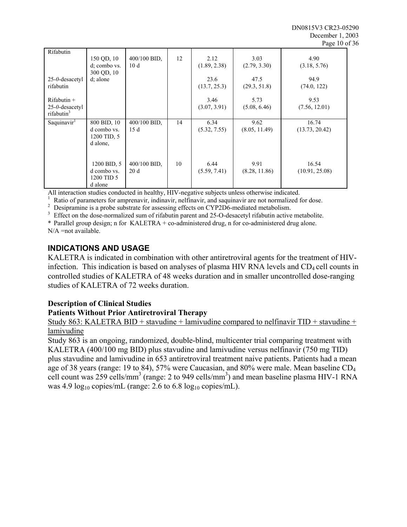| Rifabutin                                           | 150 QD, 10<br>d: combo vs.<br>300 QD, 10              | 400/100 BID,<br>10d   | 12 | 2.12<br>(1.89, 2.38) | 3.03<br>(2.79, 3.30)  | 4.90<br>(3.18, 5.76)    |
|-----------------------------------------------------|-------------------------------------------------------|-----------------------|----|----------------------|-----------------------|-------------------------|
| 25-0-desacetyl<br>rifabutin                         | d; alone                                              |                       |    | 23.6<br>(13.7, 25.3) | 47.5<br>(29.3, 51.8)  | 94.9<br>(74.0, 122)     |
| $Rifabutin +$<br>$25-0$ -desacetyl<br>rifabutin $3$ |                                                       |                       |    | 3.46<br>(3.07, 3.91) | 5.73<br>(5.08, 6.46)  | 9.53<br>(7.56, 12.01)   |
| Saquinavir <sup>1</sup>                             | 800 BID, 10<br>d combo vs.<br>1200 TID, 5<br>d alone. | $400/100$ BID.<br>15d | 14 | 6.34<br>(5.32, 7.55) | 9.62<br>(8.05, 11.49) | 16.74<br>(13.73, 20.42) |
|                                                     | 1200 BID, 5<br>d combo vs.<br>1200 TID 5<br>d alone   | $400/100$ BID.<br>20d | 10 | 6.44<br>(5.59, 7.41) | 9.91<br>(8.28, 11.86) | 16.54<br>(10.91, 25.08) |

All interaction studies conducted in healthy, HIV-negative subjects unless otherwise indicated.<br>
<sup>1</sup> Ratio of parameters for amprenavir, indinavir, nelfinavir, and saquinavir are not normalized for dose.<br>
<sup>2</sup> Desipramine

\* Parallel group design; n for KALETRA + co-administered drug, n for co-administered drug alone. N/A =not available.

## **INDICATIONS AND USAGE**

KALETRA is indicated in combination with other antiretroviral agents for the treatment of HIVinfection. This indication is based on analyses of plasma HIV RNA levels and  $CD<sub>4</sub>$  cell counts in controlled studies of KALETRA of 48 weeks duration and in smaller uncontrolled dose-ranging studies of KALETRA of 72 weeks duration.

## **Description of Clinical Studies**

#### **Patients Without Prior Antiretroviral Therapy**

Study 863: KALETRA BID + stavudine + lamivudine compared to nelfinavir  $TID$  + stavudine + lamivudine

Study 863 is an ongoing, randomized, double-blind, multicenter trial comparing treatment with KALETRA (400/100 mg BID) plus stavudine and lamivudine versus nelfinavir (750 mg TID) plus stavudine and lamivudine in 653 antiretroviral treatment naive patients. Patients had a mean age of 38 years (range: 19 to 84), 57% were Caucasian, and 80% were male. Mean baseline CD4 cell count was 259 cells/mm<sup>3</sup> (range: 2 to 949 cells/mm<sup>3</sup>) and mean baseline plasma HIV-1 RNA was 4.9  $log_{10}$  copies/mL (range: 2.6 to 6.8  $log_{10}$  copies/mL).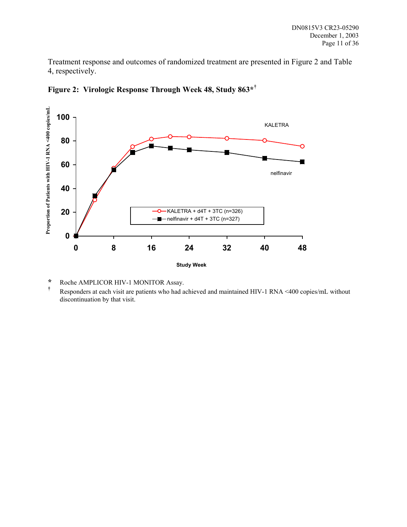Treatment response and outcomes of randomized treatment are presented in Figure 2 and Table 4, respectively.



**Figure 2: Virologic Response Through Week 48, Study 863\*†**

\* Roche AMPLICOR HIV-1 MONITOR Assay.<br><sup>†</sup> Responders at each visit are patients who had a

**†** Responders at each visit are patients who had achieved and maintained HIV-1 RNA <400 copies/mL without discontinuation by that visit.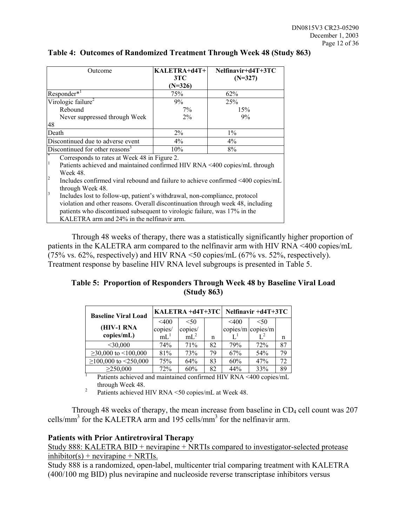| Outcome                                                                               | KALETRA+d4T+ | Nelfinavir+d4T+3TC |
|---------------------------------------------------------------------------------------|--------------|--------------------|
|                                                                                       | 3TC          | $(N=327)$          |
|                                                                                       | $(N=326)$    |                    |
| $Responder*1$                                                                         | 75%          | 62%                |
| Virologic failure <sup>2</sup>                                                        | 9%           | 25%                |
| Rebound                                                                               | 7%           | 15%                |
| Never suppressed through Week                                                         | 2%           | 9%                 |
| 48                                                                                    |              |                    |
| Death                                                                                 | $2\%$        | $1\%$              |
| Discontinued due to adverse event                                                     | $4\%$        | $4\%$              |
| Discontinued for other reasons <sup>3</sup>                                           | 10%          | 8%                 |
| Corresponds to rates at Week 48 in Figure 2.                                          |              |                    |
| Patients achieved and maintained confirmed HIV RNA <400 copies/mL through             |              |                    |
| Week 48.                                                                              |              |                    |
| 2<br>Includes confirmed viral rebound and failure to achieve confirmed <400 copies/mL |              |                    |
| through Week 48.                                                                      |              |                    |
| 3<br>Includes lost to follow-up, patient's withdrawal, non-compliance, protocol       |              |                    |
| violation and other reasons. Overall discontinuation through week 48, including       |              |                    |
| patients who discontinued subsequent to virologic failure, was 17% in the             |              |                    |
| KALETRA arm and 24% in the nelfinavir arm.                                            |              |                    |

## **Table 4: Outcomes of Randomized Treatment Through Week 48 (Study 863)**

Through 48 weeks of therapy, there was a statistically significantly higher proportion of patients in the KALETRA arm compared to the nelfinavir arm with HIV RNA <400 copies/mL (75% vs. 62%, respectively) and HIV RNA <50 copies/mL (67% vs. 52%, respectively). Treatment response by baseline HIV RNA level subgroups is presented in Table 5.

## **Table 5: Proportion of Responders Through Week 48 by Baseline Viral Load (Study 863)**

| <b>Baseline Viral Load</b> |                 | KALETRA +d4T+3TC |    | Nelfinavir +d4T+3TC |                   |    |  |
|----------------------------|-----------------|------------------|----|---------------------|-------------------|----|--|
|                            | $<$ 400         | < 50             |    | $<$ 400             | < 50              |    |  |
| (HIV-1 RNA                 | copies/         | copies/          |    |                     | copies/m copies/m |    |  |
| copies/mL)                 | mL <sup>1</sup> | $mL^2$           | n  |                     |                   | n  |  |
| $<$ 30,000                 | 74%             | 71%              | 82 | 79%                 | 72%               | 87 |  |
| $\geq$ 30,000 to <100,000  | 81%             | 73%              | 79 | 67%                 | 54%               | 79 |  |
| $\geq$ 100,000 to <250,000 | 75%             | 64%              | 83 | 60%                 | 47%               | 72 |  |
| $\geq$ 250,000             | 72%             | 60%              | 82 | 44%                 | 33%               | 89 |  |

<sup>1</sup> Patients achieved and maintained confirmed HIV RNA <400 copies/mL through Week 48.<br><sup>2</sup> Patients achieved HIV RNA <50 copies/mL at Week 48.

Through 48 weeks of therapy, the mean increase from baseline in  $CD_4$  cell count was 207 cells/mm<sup>3</sup> for the KALETRA arm and 195 cells/mm<sup>3</sup> for the nelfinavir arm.

## **Patients with Prior Antiretroviral Therapy**

Study 888: KALETRA BID + nevirapine + NRTIs compared to investigator-selected protease  $inhibitor(s) + nevirapine + NRTIs.$ 

Study 888 is a randomized, open-label, multicenter trial comparing treatment with KALETRA (400/100 mg BID) plus nevirapine and nucleoside reverse transcriptase inhibitors versus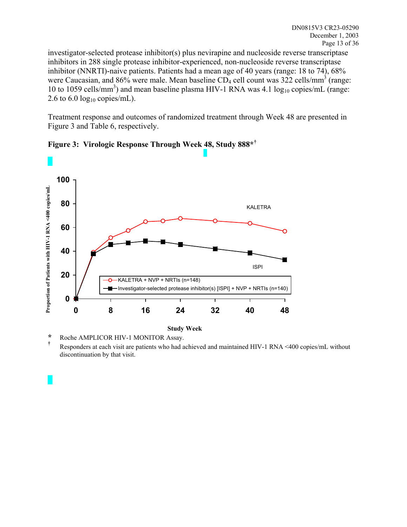investigator-selected protease inhibitor(s) plus nevirapine and nucleoside reverse transcriptase inhibitors in 288 single protease inhibitor-experienced, non-nucleoside reverse transcriptase inhibitor (NNRTI)-naive patients. Patients had a mean age of 40 years (range: 18 to 74), 68% were Caucasian, and 86% were male. Mean baseline  $CD_4$  cell count was 322 cells/mm<sup>3</sup> (range: 10 to 1059 cells/mm<sup>3</sup>) and mean baseline plasma HIV-1 RNA was 4.1 log<sub>10</sub> copies/mL (range: 2.6 to 6.0  $log_{10}$  copies/mL).

Treatment response and outcomes of randomized treatment through Week 48 are presented in Figure 3 and Table 6, respectively.



**Figure 3: Virologic Response Through Week 48, Study 888\*†**

\* Roche AMPLICOR HIV-1 MONITOR Assay. **†** Responders at each visit are patients who had achieved and maintained HIV-1 RNA <400 copies/mL without discontinuation by that visit.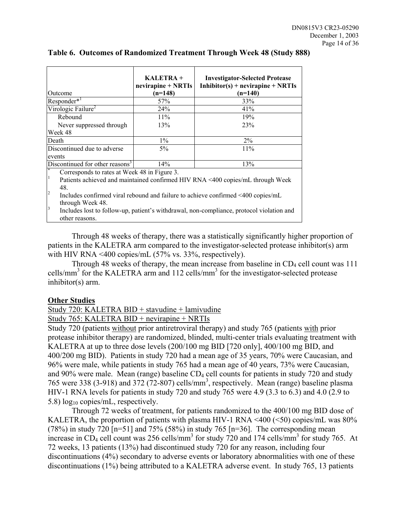|                                              | <b>KALETRA +</b><br>nevirapine + NRTIs | <b>Investigator-Selected Protease</b><br>$Inhibitor(s) + nevirapine + NRTIs$     |
|----------------------------------------------|----------------------------------------|----------------------------------------------------------------------------------|
| Outcome                                      | $(n=148)$                              | $(n=140)$                                                                        |
| $Responder*1$                                | 57%                                    | 33%                                                                              |
| Virologic Failure <sup>2</sup>               | 24%                                    | 41%                                                                              |
| Rebound                                      | 11%                                    | 19%                                                                              |
| Never suppressed through                     | 13%                                    | 23%                                                                              |
| Week 48                                      |                                        |                                                                                  |
| Death                                        | $1\%$                                  | $2\%$                                                                            |
| Discontinued due to adverse                  | $5\%$                                  | 11%                                                                              |
| events                                       |                                        |                                                                                  |
| Discontinued for other reasons <sup>3</sup>  | 14%                                    | 13%                                                                              |
| Corresponds to rates at Week 48 in Figure 3. |                                        |                                                                                  |
|                                              |                                        | Patients achieved and maintained confirmed HIV RNA <400 copies/mL through Week   |
| 48.                                          |                                        |                                                                                  |
| $\vert$ <sub>2</sub>                         |                                        | Includes confirmed viral rebound and failure to achieve confirmed <400 copies/mL |
| through Week 48.                             |                                        |                                                                                  |
| $\overline{1}$                               |                                        |                                                                                  |

### **Table 6. Outcomes of Randomized Treatment Through Week 48 (Study 888)**

Includes lost to follow-up, patient's withdrawal, non-compliance, protocol violation and other reasons.

Through 48 weeks of therapy, there was a statistically significantly higher proportion of patients in the KALETRA arm compared to the investigator-selected protease inhibitor(s) arm with HIV RNA <400 copies/mL (57% vs. 33%, respectively).

Through 48 weeks of therapy, the mean increase from baseline in  $CD_4$  cell count was 111 cells/mm<sup>3</sup> for the KALETRA arm and 112 cells/mm<sup>3</sup> for the investigator-selected protease inhibitor(s) arm.

#### **Other Studies**

Study 720: KALETRA BID + stavudine + lamivudine

Study 765: KALETRA BID + nevirapine + NRTIs

Study 720 (patients without prior antiretroviral therapy) and study 765 (patients with prior protease inhibitor therapy) are randomized, blinded, multi-center trials evaluating treatment with KALETRA at up to three dose levels (200/100 mg BID [720 only], 400/100 mg BID, and 400/200 mg BID). Patients in study 720 had a mean age of 35 years, 70% were Caucasian, and 96% were male, while patients in study 765 had a mean age of 40 years, 73% were Caucasian, and 90% were male. Mean (range) baseline  $CD_4$  cell counts for patients in study 720 and study 765 were 338 (3-918) and 372 (72-807) cells/mm<sup>3</sup>, respectively. Mean (range) baseline plasma HIV-1 RNA levels for patients in study 720 and study 765 were 4.9 (3.3 to 6.3) and 4.0 (2.9 to 5.8)  $log_{10}$  copies/mL, respectively.

Through 72 weeks of treatment, for patients randomized to the 400/100 mg BID dose of KALETRA, the proportion of patients with plasma HIV-1 RNA  $\leq 400$  ( $\leq 50$ ) copies/mL was 80% (78%) in study 720 [n=51] and 75% (58%) in study 765 [n=36]. The corresponding mean increase in  $CD_4$  cell count was 256 cells/mm<sup>3</sup> for study 720 and 174 cells/mm<sup>3</sup> for study 765. At 72 weeks, 13 patients (13%) had discontinued study 720 for any reason, including four discontinuations (4%) secondary to adverse events or laboratory abnormalities with one of these discontinuations (1%) being attributed to a KALETRA adverse event. In study 765, 13 patients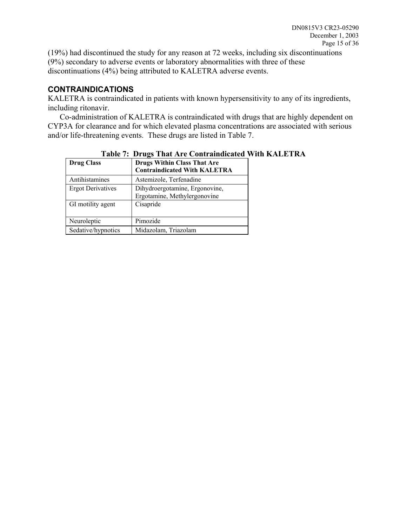(19%) had discontinued the study for any reason at 72 weeks, including six discontinuations (9%) secondary to adverse events or laboratory abnormalities with three of these discontinuations (4%) being attributed to KALETRA adverse events.

## **CONTRAINDICATIONS**

KALETRA is contraindicated in patients with known hypersensitivity to any of its ingredients, including ritonavir.

Co-administration of KALETRA is contraindicated with drugs that are highly dependent on CYP3A for clearance and for which elevated plasma concentrations are associated with serious and/or life-threatening events. These drugs are listed in Table 7.

|                          | Table 7: Drugs That Are Contramulcated |  |  |  |  |  |
|--------------------------|----------------------------------------|--|--|--|--|--|
| <b>Drug Class</b>        | <b>Drugs Within Class That Are</b>     |  |  |  |  |  |
|                          | <b>Contraindicated With KALETRA</b>    |  |  |  |  |  |
| Antihistamines           | Astemizole, Terfenadine                |  |  |  |  |  |
| <b>Ergot Derivatives</b> | Dihydroergotamine, Ergonovine,         |  |  |  |  |  |
|                          | Ergotamine, Methylergonovine           |  |  |  |  |  |
| GI motility agent        | Cisapride                              |  |  |  |  |  |
|                          |                                        |  |  |  |  |  |
| Neuroleptic              | Pimozide                               |  |  |  |  |  |
| Sedative/hypnotics       | Midazolam, Triazolam                   |  |  |  |  |  |

**Table 7: Drugs That Are Contraindicated With KALETRA**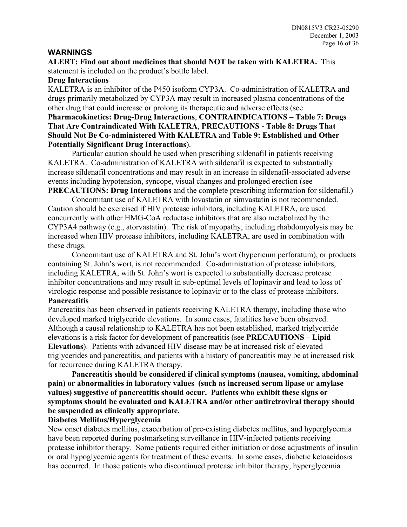### **WARNINGS**

**ALERT: Find out about medicines that should NOT be taken with KALETRA.** This statement is included on the product's bottle label.

#### **Drug Interactions**

KALETRA is an inhibitor of the P450 isoform CYP3A. Co-administration of KALETRA and drugs primarily metabolized by CYP3A may result in increased plasma concentrations of the other drug that could increase or prolong its therapeutic and adverse effects (see

## **Pharmacokinetics: Drug-Drug Interactions**, **CONTRAINDICATIONS – Table 7: Drugs That Are Contraindicated With KALETRA**, **PRECAUTIONS - Table 8: Drugs That Should Not Be Co-administered With KALETRA** and **Table 9: Established and Other Potentially Significant Drug Interactions**).

Particular caution should be used when prescribing sildenafil in patients receiving KALETRA. Co-administration of KALETRA with sildenafil is expected to substantially increase sildenafil concentrations and may result in an increase in sildenafil-associated adverse events including hypotension, syncope, visual changes and prolonged erection (see **PRECAUTIONS: Drug Interactions** and the complete prescribing information for sildenafil.)

Concomitant use of KALETRA with lovastatin or simvastatin is not recommended. Caution should be exercised if HIV protease inhibitors, including KALETRA, are used concurrently with other HMG-CoA reductase inhibitors that are also metabolized by the CYP3A4 pathway (e.g., atorvastatin). The risk of myopathy, including rhabdomyolysis may be increased when HIV protease inhibitors, including KALETRA, are used in combination with these drugs.

Concomitant use of KALETRA and St. John's wort (hypericum perforatum), or products containing St. John's wort, is not recommended. Co-administration of protease inhibitors, including KALETRA, with St. John's wort is expected to substantially decrease protease inhibitor concentrations and may result in sub-optimal levels of lopinavir and lead to loss of virologic response and possible resistance to lopinavir or to the class of protease inhibitors.

### **Pancreatitis**

Pancreatitis has been observed in patients receiving KALETRA therapy, including those who developed marked triglyceride elevations. In some cases, fatalities have been observed. Although a causal relationship to KALETRA has not been established, marked triglyceride elevations is a risk factor for development of pancreatitis (see **PRECAUTIONS – Lipid Elevations**). Patients with advanced HIV disease may be at increased risk of elevated triglycerides and pancreatitis, and patients with a history of pancreatitis may be at increased risk for recurrence during KALETRA therapy.

**Pancreatitis should be considered if clinical symptoms (nausea, vomiting, abdominal pain) or abnormalities in laboratory values (such as increased serum lipase or amylase values) suggestive of pancreatitis should occur. Patients who exhibit these signs or symptoms should be evaluated and KALETRA and/or other antiretroviral therapy should be suspended as clinically appropriate.**

## **Diabetes Mellitus/Hyperglycemia**

New onset diabetes mellitus, exacerbation of pre-existing diabetes mellitus, and hyperglycemia have been reported during postmarketing surveillance in HIV-infected patients receiving protease inhibitor therapy. Some patients required either initiation or dose adjustments of insulin or oral hypoglycemic agents for treatment of these events. In some cases, diabetic ketoacidosis has occurred. In those patients who discontinued protease inhibitor therapy, hyperglycemia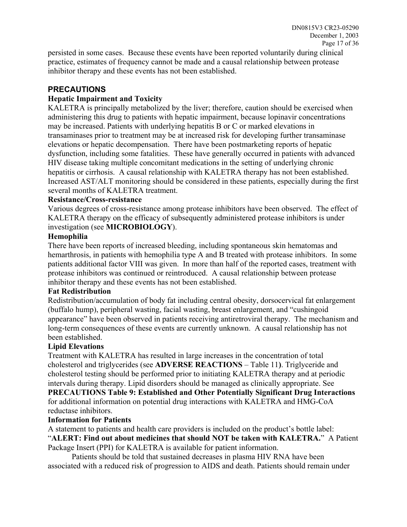persisted in some cases. Because these events have been reported voluntarily during clinical practice, estimates of frequency cannot be made and a causal relationship between protease inhibitor therapy and these events has not been established.

# **PRECAUTIONS**

## **Hepatic Impairment and Toxicity**

KALETRA is principally metabolized by the liver; therefore, caution should be exercised when administering this drug to patients with hepatic impairment, because lopinavir concentrations may be increased. Patients with underlying hepatitis B or C or marked elevations in transaminases prior to treatment may be at increased risk for developing further transaminase elevations or hepatic decompensation. There have been postmarketing reports of hepatic dysfunction, including some fatalities. These have generally occurred in patients with advanced HIV disease taking multiple concomitant medications in the setting of underlying chronic hepatitis or cirrhosis. A causal relationship with KALETRA therapy has not been established. Increased AST/ALT monitoring should be considered in these patients, especially during the first several months of KALETRA treatment.

### **Resistance/Cross-resistance**

Various degrees of cross-resistance among protease inhibitors have been observed. The effect of KALETRA therapy on the efficacy of subsequently administered protease inhibitors is under investigation (see **MICROBIOLOGY**).

### **Hemophilia**

There have been reports of increased bleeding, including spontaneous skin hematomas and hemarthrosis, in patients with hemophilia type A and B treated with protease inhibitors. In some patients additional factor VIII was given. In more than half of the reported cases, treatment with protease inhibitors was continued or reintroduced. A causal relationship between protease inhibitor therapy and these events has not been established.

## **Fat Redistribution**

Redistribution/accumulation of body fat including central obesity, dorsocervical fat enlargement (buffalo hump), peripheral wasting, facial wasting, breast enlargement, and "cushingoid appearance" have been observed in patients receiving antiretroviral therapy. The mechanism and long-term consequences of these events are currently unknown. A causal relationship has not been established.

## **Lipid Elevations**

Treatment with KALETRA has resulted in large increases in the concentration of total cholesterol and triglycerides (see **ADVERSE REACTIONS** – Table 11**)**. Triglyceride and cholesterol testing should be performed prior to initiating KALETRA therapy and at periodic intervals during therapy. Lipid disorders should be managed as clinically appropriate. See **PRECAUTIONS Table 9: Established and Other Potentially Significant Drug Interactions** for additional information on potential drug interactions with KALETRA and HMG-CoA reductase inhibitors.

## **Information for Patients**

A statement to patients and health care providers is included on the product's bottle label: "**ALERT: Find out about medicines that should NOT be taken with KALETRA.**" A Patient Package Insert (PPI) for KALETRA is available for patient information.

Patients should be told that sustained decreases in plasma HIV RNA have been associated with a reduced risk of progression to AIDS and death. Patients should remain under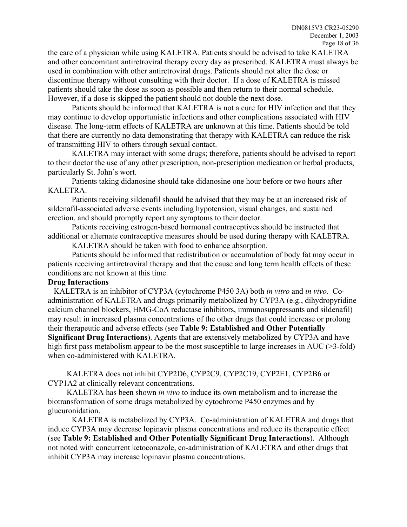the care of a physician while using KALETRA. Patients should be advised to take KALETRA and other concomitant antiretroviral therapy every day as prescribed. KALETRA must always be used in combination with other antiretroviral drugs. Patients should not alter the dose or discontinue therapy without consulting with their doctor. If a dose of KALETRA is missed patients should take the dose as soon as possible and then return to their normal schedule. However, if a dose is skipped the patient should not double the next dose.

Patients should be informed that KALETRA is not a cure for HIV infection and that they may continue to develop opportunistic infections and other complications associated with HIV disease. The long-term effects of KALETRA are unknown at this time. Patients should be told that there are currently no data demonstrating that therapy with KALETRA can reduce the risk of transmitting HIV to others through sexual contact.

KALETRA may interact with some drugs; therefore, patients should be advised to report to their doctor the use of any other prescription, non-prescription medication or herbal products, particularly St. John's wort.

Patients taking didanosine should take didanosine one hour before or two hours after KALETRA.

Patients receiving sildenafil should be advised that they may be at an increased risk of sildenafil-associated adverse events including hypotension, visual changes, and sustained erection, and should promptly report any symptoms to their doctor.

Patients receiving estrogen-based hormonal contraceptives should be instructed that additional or alternate contraceptive measures should be used during therapy with KALETRA.

KALETRA should be taken with food to enhance absorption.

Patients should be informed that redistribution or accumulation of body fat may occur in patients receiving antiretroviral therapy and that the cause and long term health effects of these conditions are not known at this time.

#### **Drug Interactions**

KALETRA is an inhibitor of CYP3A (cytochrome P450 3A) both *in vitro* and *in vivo.* Coadministration of KALETRA and drugs primarily metabolized by CYP3A (e.g., dihydropyridine calcium channel blockers, HMG-CoA reductase inhibitors, immunosuppressants and sildenafil) may result in increased plasma concentrations of the other drugs that could increase or prolong their therapeutic and adverse effects (see **Table 9: Established and Other Potentially Significant Drug Interactions**). Agents that are extensively metabolized by CYP3A and have high first pass metabolism appear to be the most susceptible to large increases in AUC (>3-fold) when co-administered with KALETRA.

KALETRA does not inhibit CYP2D6, CYP2C9, CYP2C19, CYP2E1, CYP2B6 or CYP1A2 at clinically relevant concentrations.

KALETRA has been shown *in vivo* to induce its own metabolism and to increase the biotransformation of some drugs metabolized by cytochrome P450 enzymes and by glucuronidation.

KALETRA is metabolized by CYP3A. Co-administration of KALETRA and drugs that induce CYP3A may decrease lopinavir plasma concentrations and reduce its therapeutic effect (see **Table 9: Established and Other Potentially Significant Drug Interactions**). Although not noted with concurrent ketoconazole, co-administration of KALETRA and other drugs that inhibit CYP3A may increase lopinavir plasma concentrations.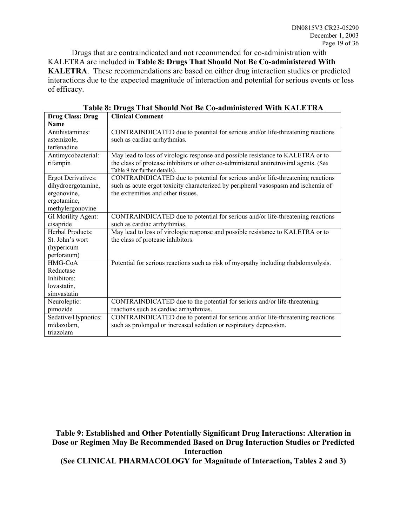Drugs that are contraindicated and not recommended for co-administration with KALETRA are included in **Table 8: Drugs That Should Not Be Co-administered With KALETRA**. These recommendations are based on either drug interaction studies or predicted interactions due to the expected magnitude of interaction and potential for serious events or loss of efficacy.

| <b>Drug Class: Drug</b>   | <b>Clinical Comment</b>                                                                                                |
|---------------------------|------------------------------------------------------------------------------------------------------------------------|
| <b>Name</b>               |                                                                                                                        |
| Antihistamines:           | CONTRAINDICATED due to potential for serious and/or life-threatening reactions                                         |
| astemizole,               | such as cardiac arrhythmias.                                                                                           |
| terfenadine               |                                                                                                                        |
| Antimycobacterial:        | May lead to loss of virologic response and possible resistance to KALETRA or to                                        |
| rifampin                  | the class of protease inhibitors or other co-administered antiretroviral agents. (See<br>Table 9 for further details). |
| <b>Ergot Derivatives:</b> | CONTRAINDICATED due to potential for serious and/or life-threatening reactions                                         |
| dihydroergotamine,        | such as acute ergot toxicity characterized by peripheral vasospasm and ischemia of                                     |
| ergonovine,               | the extremities and other tissues.                                                                                     |
| ergotamine,               |                                                                                                                        |
| methylergonovine          |                                                                                                                        |
| GI Motility Agent:        | CONTRAINDICATED due to potential for serious and/or life-threatening reactions                                         |
| cisapride                 | such as cardiac arrhythmias.                                                                                           |
| Herbal Products:          | May lead to loss of virologic response and possible resistance to KALETRA or to                                        |
| St. John's wort           | the class of protease inhibitors.                                                                                      |
| (hypericum                |                                                                                                                        |
| perforatum)               |                                                                                                                        |
| HMG-CoA                   | Potential for serious reactions such as risk of myopathy including rhabdomyolysis.                                     |
| Reductase                 |                                                                                                                        |
| Inhibitors:               |                                                                                                                        |
| lovastatin,               |                                                                                                                        |
| simvastatin               |                                                                                                                        |
| Neuroleptic:              | CONTRAINDICATED due to the potential for serious and/or life-threatening                                               |
| pimozide                  | reactions such as cardiac arrhythmias.                                                                                 |
| Sedative/Hypnotics:       | CONTRAINDICATED due to potential for serious and/or life-threatening reactions                                         |
| midazolam,                | such as prolonged or increased sedation or respiratory depression.                                                     |
| triazolam                 |                                                                                                                        |

| Table 8: Drugs That Should Not Be Co-administered With KALETRA |  |  |  |  |  |
|----------------------------------------------------------------|--|--|--|--|--|
|                                                                |  |  |  |  |  |

**Table 9: Established and Other Potentially Significant Drug Interactions: Alteration in Dose or Regimen May Be Recommended Based on Drug Interaction Studies or Predicted Interaction**

**(See CLINICAL PHARMACOLOGY for Magnitude of Interaction, Tables 2 and 3)**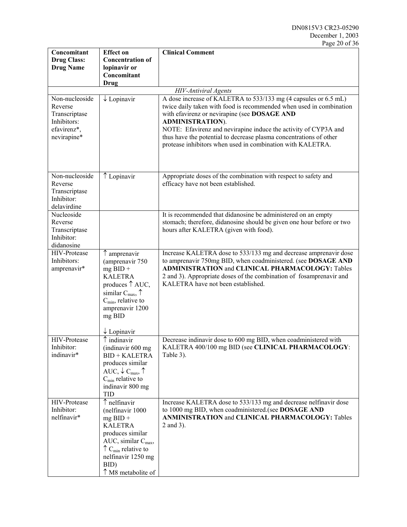| Concomitant                | <b>Effect on</b>                                | <b>Clinical Comment</b>                                                                                                  |
|----------------------------|-------------------------------------------------|--------------------------------------------------------------------------------------------------------------------------|
| <b>Drug Class:</b>         | <b>Concentration of</b>                         |                                                                                                                          |
| <b>Drug Name</b>           | lopinavir or                                    |                                                                                                                          |
|                            | Concomitant                                     |                                                                                                                          |
|                            | Drug                                            |                                                                                                                          |
|                            |                                                 | HIV-Antiviral Agents                                                                                                     |
| Non-nucleoside             | $\downarrow$ Lopinavir                          | A dose increase of KALETRA to 533/133 mg (4 capsules or 6.5 mL)                                                          |
| Reverse                    |                                                 | twice daily taken with food is recommended when used in combination                                                      |
| Transcriptase              |                                                 | with efavirenz or nevirapine (see DOSAGE AND                                                                             |
| Inhibitors:                |                                                 | <b>ADMINISTRATION).</b>                                                                                                  |
| efavirenz*,                |                                                 | NOTE: Efavirenz and nevirapine induce the activity of CYP3A and                                                          |
| nevirapine*                |                                                 | thus have the potential to decrease plasma concentrations of other                                                       |
|                            |                                                 | protease inhibitors when used in combination with KALETRA.                                                               |
|                            |                                                 |                                                                                                                          |
|                            |                                                 |                                                                                                                          |
| Non-nucleoside             | ↑ Lopinavir                                     | Appropriate doses of the combination with respect to safety and                                                          |
| Reverse                    |                                                 | efficacy have not been established.                                                                                      |
| Transcriptase              |                                                 |                                                                                                                          |
| Inhibitor:                 |                                                 |                                                                                                                          |
| delavirdine                |                                                 |                                                                                                                          |
| Nucleoside                 |                                                 | It is recommended that didanosine be administered on an empty                                                            |
| Reverse                    |                                                 | stomach; therefore, didanosine should be given one hour before or two                                                    |
| Transcriptase              |                                                 | hours after KALETRA (given with food).                                                                                   |
| Inhibitor:                 |                                                 |                                                                                                                          |
| didanosine                 |                                                 |                                                                                                                          |
| HIV-Protease               | $\uparrow$ amprenavir                           | Increase KALETRA dose to 533/133 mg and decrease amprenavir dose                                                         |
| Inhibitors:<br>amprenavir* | (amprenavir 750<br>$mg$ BID +                   | to amprenavir 750mg BID, when coadministered. (see DOSAGE AND<br><b>ADMINISTRATION and CLINICAL PHARMACOLOGY: Tables</b> |
|                            | <b>KALETRA</b>                                  | 2 and 3). Appropriate doses of the combination of fosamprenavir and                                                      |
|                            | produces $\uparrow$ AUC,                        | KALETRA have not been established.                                                                                       |
|                            | similar $C_{\text{max}}$ , $\uparrow$           |                                                                                                                          |
|                            | $C_{\text{min}}$ , relative to                  |                                                                                                                          |
|                            | amprenavir 1200                                 |                                                                                                                          |
|                            | mg BID                                          |                                                                                                                          |
|                            |                                                 |                                                                                                                          |
|                            | $\downarrow$ Lopinavir                          |                                                                                                                          |
| HIV-Protease               | ↑ indinavir                                     | Decrease indinavir dose to 600 mg BID, when coadministered with                                                          |
| Inhibitor:                 | (indinavir 600 mg                               | KALETRA 400/100 mg BID (see CLINICAL PHARMACOLOGY:                                                                       |
| indinavir*                 | <b>BID + KALETRA</b>                            | Table 3).                                                                                                                |
|                            | produces similar                                |                                                                                                                          |
|                            | AUC, $\downarrow$ C <sub>max</sub> , $\uparrow$ |                                                                                                                          |
|                            | $C_{\text{min}}$ relative to                    |                                                                                                                          |
|                            | indinavir 800 mg<br>TID                         |                                                                                                                          |
| HIV-Protease               | ↑ nelfinavir                                    | Increase KALETRA dose to 533/133 mg and decrease nelfinavir dose                                                         |
| Inhibitor:                 | (nelfinavir 1000                                | to 1000 mg BID, when coadministered (see DOSAGE AND                                                                      |
| nelfinavir*                | $mg$ BID +                                      | <b>ANMINISTRATION and CLINICAL PHARMACOLOGY: Tables</b>                                                                  |
|                            | <b>KALETRA</b>                                  | 2 and 3).                                                                                                                |
|                            | produces similar                                |                                                                                                                          |
|                            | AUC, similar $C_{\text{max}}$ ,                 |                                                                                                                          |
|                            | $\uparrow$ C <sub>min</sub> relative to         |                                                                                                                          |
|                            | nelfinavir 1250 mg                              |                                                                                                                          |
|                            | BID)                                            |                                                                                                                          |
|                            | ↑ M8 metabolite of                              |                                                                                                                          |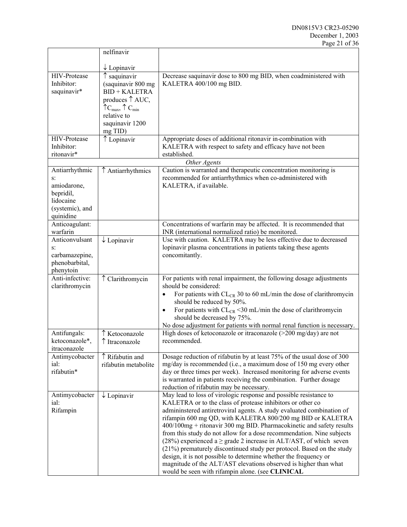|                            | nelfinavir                                                |                                                                                                                                            |
|----------------------------|-----------------------------------------------------------|--------------------------------------------------------------------------------------------------------------------------------------------|
|                            |                                                           |                                                                                                                                            |
|                            | $\downarrow$ Lopinavir                                    |                                                                                                                                            |
| HIV-Protease<br>Inhibitor: | $\overline{\uparrow}$ saquinavir                          | Decrease saquinavir dose to 800 mg BID, when coadministered with                                                                           |
| saquinavir*                | (saquinavir 800 mg<br><b>BID + KALETRA</b>                | KALETRA 400/100 mg BID.                                                                                                                    |
|                            | produces $\uparrow$ AUC,                                  |                                                                                                                                            |
|                            | $\uparrow$ C <sub>max</sub> , $\uparrow$ C <sub>min</sub> |                                                                                                                                            |
|                            | relative to                                               |                                                                                                                                            |
|                            | saquinavir 1200                                           |                                                                                                                                            |
|                            | mg TID)                                                   |                                                                                                                                            |
| HIV-Protease               | ↑ Lopinavir                                               | Appropriate doses of additional ritonavir in-combination with                                                                              |
| Inhibitor:                 |                                                           | KALETRA with respect to safety and efficacy have not been                                                                                  |
| ritonavir*                 |                                                           | established.                                                                                                                               |
|                            |                                                           | Other Agents                                                                                                                               |
| Antiarrhythmic             | ↑ Antiarrhythmics                                         | Caution is warranted and therapeutic concentration monitoring is                                                                           |
| $S^{\dagger}$              |                                                           | recommended for antiarrhythmics when co-administered with                                                                                  |
| amiodarone,                |                                                           | KALETRA, if available.                                                                                                                     |
| bepridil,<br>lidocaine     |                                                           |                                                                                                                                            |
| (systemic), and            |                                                           |                                                                                                                                            |
| quinidine                  |                                                           |                                                                                                                                            |
| Anticoagulant:             |                                                           | Concentrations of warfarin may be affected. It is recommended that                                                                         |
| warfarin                   |                                                           | INR (international normalized ratio) be monitored.                                                                                         |
| Anticonvulsant             | $\downarrow$ Lopinavir                                    | Use with caution. KALETRA may be less effective due to decreased                                                                           |
| $S^{\dagger}$              |                                                           | lopinavir plasma concentrations in patients taking these agents                                                                            |
| carbamazepine,             |                                                           | concomitantly.                                                                                                                             |
| phenobarbital,             |                                                           |                                                                                                                                            |
| phenytoin                  |                                                           |                                                                                                                                            |
| Anti-infective:            | ↑ Clarithromycin                                          | For patients with renal impairment, the following dosage adjustments                                                                       |
| clarithromycin             |                                                           | should be considered:<br>For patients with $CL_{CR}$ 30 to 60 mL/min the dose of clarithromycin<br>$\bullet$                               |
|                            |                                                           | should be reduced by 50%.                                                                                                                  |
|                            |                                                           | For patients with $CL_{CR}$ <30 mL/min the dose of clarithromycin<br>$\bullet$                                                             |
|                            |                                                           | should be decreased by 75%.                                                                                                                |
|                            |                                                           | No dose adjustment for patients with normal renal function is necessary.                                                                   |
| Antifungals:               | ↑ Ketoconazole                                            | High doses of ketoconazole or itraconazole (>200 mg/day) are not                                                                           |
| ketoconazole*,             | ↑ Itraconazole                                            | recommended.                                                                                                                               |
| itraconazole               |                                                           |                                                                                                                                            |
| Antimycobacter             | ↑ Rifabutin and                                           | Dosage reduction of rifabutin by at least 75% of the usual dose of 300                                                                     |
| ial:<br>rifabutin*         | rifabutin metabolite                                      | mg/day is recommended (i.e., a maximum dose of 150 mg every other<br>day or three times per week). Increased monitoring for adverse events |
|                            |                                                           | is warranted in patients receiving the combination. Further dosage                                                                         |
|                            |                                                           | reduction of rifabutin may be necessary.                                                                                                   |
| Antimycobacter             | $\downarrow$ Lopinavir                                    | May lead to loss of virologic response and possible resistance to                                                                          |
| ial:                       |                                                           | KALETRA or to the class of protease inhibitors or other co                                                                                 |
| Rifampin                   |                                                           | admininstered antiretroviral agents. A study evaluated combination of                                                                      |
|                            |                                                           | rifampin 600 mg QD, with KALETRA 800/200 mg BID or KALETRA                                                                                 |
|                            |                                                           | 400/100mg + ritonavir 300 mg BID. Pharmacokinetic and safety results                                                                       |
|                            |                                                           | from this study do not allow for a dose recommendation. Nine subjects                                                                      |
|                            |                                                           | (28%) experienced a $\geq$ grade 2 increase in ALT/AST, of which seven                                                                     |
|                            |                                                           | (21%) prematurely discontinued study per protocol. Based on the study                                                                      |
|                            |                                                           | design, it is not possible to determine whether the frequency or<br>magnitude of the ALT/AST elevations observed is higher than what       |
|                            |                                                           | would be seen with rifampin alone. (see CLINICAL                                                                                           |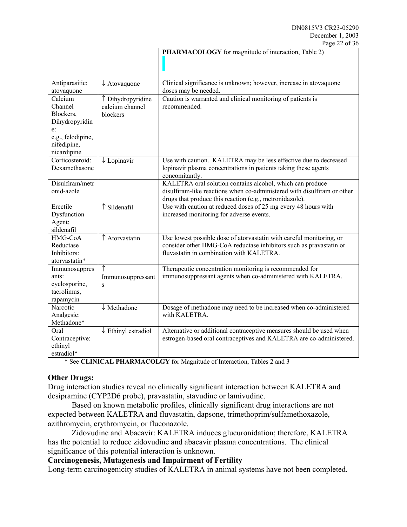#### DN0815V3 CR23-05290 December 1, 2003 Page 22 of 36

|                                                                                                            |                                                  | PHARMACOLOGY for magnitude of interaction, Table 2)                                                                                                                                             |
|------------------------------------------------------------------------------------------------------------|--------------------------------------------------|-------------------------------------------------------------------------------------------------------------------------------------------------------------------------------------------------|
| Antiparasitic:<br>atovaquone                                                                               | $\downarrow$ Atovaguone                          | Clinical significance is unknown; however, increase in atovaquone<br>doses may be needed.                                                                                                       |
| Calcium<br>Channel<br>Blockers,<br>Dihydropyridin<br>e:<br>e.g., felodipine,<br>nifedipine,<br>nicardipine | ↑ Dihydropyridine<br>calcium channel<br>blockers | Caution is warranted and clinical monitoring of patients is<br>recommended.                                                                                                                     |
| Corticosteroid:<br>Dexamethasone                                                                           | $\downarrow$ Lopinavir                           | Use with caution. KALETRA may be less effective due to decreased<br>lopinavir plasma concentrations in patients taking these agents<br>concomitantly.                                           |
| Disulfiram/metr<br>onid-azole                                                                              |                                                  | KALETRA oral solution contains alcohol, which can produce<br>disulfiram-like reactions when co-administered with disulfiram or other<br>drugs that produce this reaction (e.g., metronidazole). |
| Erectile<br>Dysfunction<br>Agent:<br>sildenafil                                                            | ↑ Sildenafil                                     | Use with caution at reduced doses of 25 mg every 48 hours with<br>increased monitoring for adverse events.                                                                                      |
| HMG-CoA<br>Reductase<br>Inhibitors:<br>atorvastatin*                                                       | $\overline{\uparrow}$ Atorvastatin               | Use lowest possible dose of atorvastatin with careful monitoring, or<br>consider other HMG-CoA reductase inhibitors such as pravastatin or<br>fluvastatin in combination with KALETRA.          |
| Immunosuppres<br>ants:<br>cyclosporine,<br>tacrolimus,<br>rapamycin                                        | Immunosuppressant<br>S                           | Therapeutic concentration monitoring is recommended for<br>immunosuppressant agents when co-administered with KALETRA.                                                                          |
| Narcotic<br>Analgesic:<br>Methadone*                                                                       | $\downarrow$ Methadone                           | Dosage of methadone may need to be increased when co-administered<br>with KALETRA.                                                                                                              |
| Oral<br>Contraceptive:<br>ethinyl<br>estradiol*                                                            | $\downarrow$ Ethinyl estradiol                   | Alternative or additional contraceptive measures should be used when<br>estrogen-based oral contraceptives and KALETRA are co-administered.                                                     |

\* See **CLINICAL PHARMACOLGY** for Magnitude of Interaction, Tables 2 and 3

## **Other Drugs:**

Drug interaction studies reveal no clinically significant interaction between KALETRA and desipramine (CYP2D6 probe), pravastatin, stavudine or lamivudine.

Based on known metabolic profiles, clinically significant drug interactions are not expected between KALETRA and fluvastatin, dapsone, trimethoprim/sulfamethoxazole, azithromycin, erythromycin, or fluconazole.

Zidovudine and Abacavir: KALETRA induces glucuronidation; therefore, KALETRA has the potential to reduce zidovudine and abacavir plasma concentrations. The clinical significance of this potential interaction is unknown.

#### **Carcinogenesis, Mutagenesis and Impairment of Fertility**

Long-term carcinogenicity studies of KALETRA in animal systems have not been completed.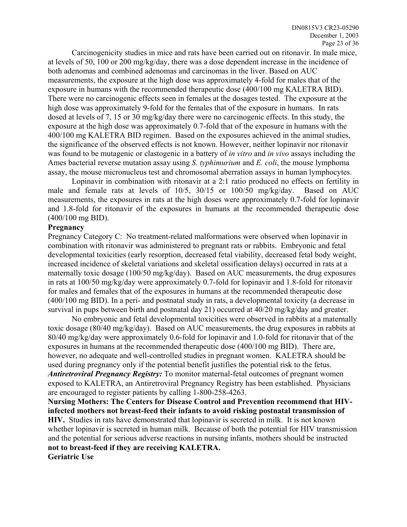Carcinogenicity studies in mice and rats have been carried out on ritonavir. In male mice, at levels of 50, 100 or 200 mg/kg/day, there was a dose dependent increase in the incidence of both adenomas and combined adenomas and carcinomas in the liver. Based on AUC measurements, the exposure at the high dose was approximately 4-fold for males that of the exposure in humans with the recommended therapeutic dose (400/100 mg KALETRA BID). There were no carcinogenic effects seen in females at the dosages tested. The exposure at the high dose was approximately 9-fold for the females that of the exposure in humans. In rats dosed at levels of 7, 15 or 30 mg/kg/day there were no carcinogenic effects. In this study, the exposure at the high dose was approximately 0.7-fold that of the exposure in humans with the 400/100 mg KALETRA BID regimen. Based on the exposures achieved in the animal studies, the significance of the observed effects is not known. However, neither lopinavir nor ritonavir was found to be mutagenic or clastogenic in a battery of *in vitro* and *in vivo* assays including the Ames bacterial reverse mutation assay using *S. typhimurium* and *E. coli*, the mouse lymphoma assay, the mouse micronucleus test and chromosomal aberration assays in human lymphocytes.

Lopinavir in combination with ritonavir at a 2:1 ratio produced no effects on fertility in male and female rats at levels of 10/5, 30/15 or 100/50 mg/kg/day. Based on AUC measurements, the exposures in rats at the high doses were approximately 0.7-fold for lopinavir and 1.8-fold for ritonavir of the exposures in humans at the recommended therapeutic dose (400/100 mg BID).

#### **Pregnancy**

Pregnancy Category C: No treatment-related malformations were observed when lopinavir in combination with ritonavir was administered to pregnant rats or rabbits. Embryonic and fetal developmental toxicities (early resorption, decreased fetal viability, decreased fetal body weight, increased incidence of skeletal variations and skeletal ossification delays) occurred in rats at a maternally toxic dosage (100/50 mg/kg/day). Based on AUC measurements, the drug exposures in rats at 100/50 mg/kg/day were approximately 0.7-fold for lopinavir and 1.8-fold for ritonavir for males and females that of the exposures in humans at the recommended therapeutic dose (400/100 mg BID). In a peri- and postnatal study in rats, a developmental toxicity (a decrease in survival in pups between birth and postnatal day 21) occurred at 40/20 mg/kg/day and greater.

No embryonic and fetal developmental toxicities were observed in rabbits at a maternally toxic dosage (80/40 mg/kg/day). Based on AUC measurements, the drug exposures in rabbits at 80/40 mg/kg/day were approximately 0.6-fold for lopinavir and 1.0-fold for ritonavir that of the exposures in humans at the recommended therapeutic dose (400/100 mg BID). There are, however, no adequate and well-controlled studies in pregnant women. KALETRA should be used during pregnancy only if the potential benefit justifies the potential risk to the fetus. *Antiretroviral Pregnancy Registry:* To monitor maternal-fetal outcomes of pregnant women exposed to KALETRA, an Antiretroviral Pregnancy Registry has been established. Physicians are encouraged to register patients by calling 1-800-258-4263.

**Nursing Mothers: The Centers for Disease Control and Prevention recommend that HIVinfected mothers not breast-feed their infants to avoid risking postnatal transmission of HIV.** Studies in rats have demonstrated that lopinavir is secreted in milk. It is not known whether lopinavir is secreted in human milk. Because of both the potential for HIV transmission and the potential for serious adverse reactions in nursing infants, mothers should be instructed **not to breast-feed if they are receiving KALETRA. Geriatric Use**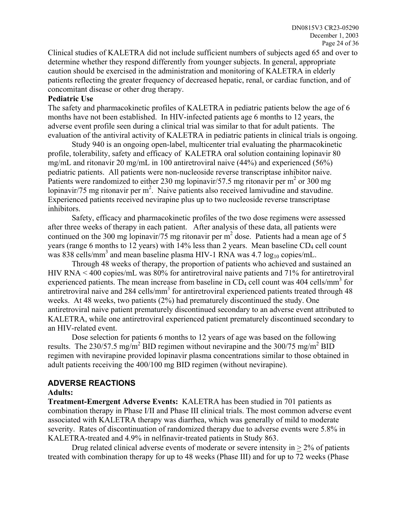Clinical studies of KALETRA did not include sufficient numbers of subjects aged 65 and over to determine whether they respond differently from younger subjects. In general, appropriate caution should be exercised in the administration and monitoring of KALETRA in elderly patients reflecting the greater frequency of decreased hepatic, renal, or cardiac function, and of concomitant disease or other drug therapy.

### **Pediatric Use**

The safety and pharmacokinetic profiles of KALETRA in pediatric patients below the age of 6 months have not been established. In HIV-infected patients age 6 months to 12 years, the adverse event profile seen during a clinical trial was similar to that for adult patients. The evaluation of the antiviral activity of KALETRA in pediatric patients in clinical trials is ongoing.

Study 940 is an ongoing open-label, multicenter trial evaluating the pharmacokinetic profile, tolerability, safety and efficacy of KALETRA oral solution containing lopinavir 80 mg/mL and ritonavir 20 mg/mL in 100 antiretroviral naive (44%) and experienced (56%) pediatric patients. All patients were non-nucleoside reverse transcriptase inhibitor naive. Patients were randomized to either 230 mg lopinavir/57.5 mg ritonavir per m<sup>2</sup> or 300 mg lopinavir/75 mg ritonavir per  $m^2$ . Naive patients also received lamivudine and stavudine. Experienced patients received nevirapine plus up to two nucleoside reverse transcriptase inhibitors.

Safety, efficacy and pharmacokinetic profiles of the two dose regimens were assessed after three weeks of therapy in each patient. After analysis of these data, all patients were continued on the 300 mg lopinavir/75 mg ritonavir per  $m<sup>2</sup>$  dose. Patients had a mean age of 5 years (range 6 months to 12 years) with  $14\%$  less than 2 years. Mean baseline CD<sub>4</sub> cell count was 838 cells/mm<sup>3</sup> and mean baseline plasma HIV-1 RNA was 4.7  $log_{10}$  copies/mL.

Through 48 weeks of therapy, the proportion of patients who achieved and sustained an HIV RNA < 400 copies/mL was 80% for antiretroviral naive patients and 71% for antiretroviral experienced patients. The mean increase from baseline in  $CD<sub>4</sub>$  cell count was 404 cells/mm<sup>3</sup> for antiretroviral naive and 284 cells/mm<sup>3</sup> for antiretroviral experienced patients treated through 48 weeks. At 48 weeks, two patients (2%) had prematurely discontinued the study. One antiretroviral naive patient prematurely discontinued secondary to an adverse event attributed to KALETRA, while one antiretroviral experienced patient prematurely discontinued secondary to an HIV-related event.

Dose selection for patients 6 months to 12 years of age was based on the following results. The 230/57.5 mg/m<sup>2</sup> BID regimen without nevirapine and the 300/75 mg/m<sup>2</sup> BID regimen with nevirapine provided lopinavir plasma concentrations similar to those obtained in adult patients receiving the 400/100 mg BID regimen (without nevirapine).

## **ADVERSE REACTIONS**

#### **Adults:**

**Treatment-Emergent Adverse Events:** KALETRA has been studied in 701 patients as combination therapy in Phase I/II and Phase III clinical trials. The most common adverse event associated with KALETRA therapy was diarrhea, which was generally of mild to moderate severity. Rates of discontinuation of randomized therapy due to adverse events were 5.8% in KALETRA-treated and 4.9% in nelfinavir-treated patients in Study 863.

Drug related clinical adverse events of moderate or severe intensity in  $> 2\%$  of patients treated with combination therapy for up to 48 weeks (Phase III) and for up to 72 weeks (Phase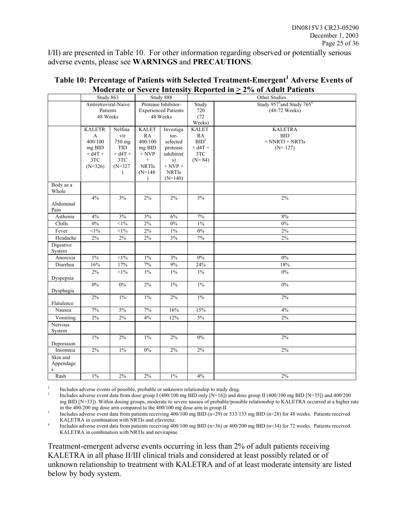I/II) are presented in Table 10. For other information regarding observed or potentially serious adverse events, please see **WARNINGS** and **PRECAUTIONS**.

|            | Study 863            |               | Study 888                   |                     | Other Studies    |                                                   |
|------------|----------------------|---------------|-----------------------------|---------------------|------------------|---------------------------------------------------|
|            | Antiretroviral-Naive |               |                             | Protease Inhibitor- | Study            | Study 957 <sup>3</sup> and Study 765 <sup>4</sup> |
|            | Patients             |               | <b>Experienced Patients</b> |                     | 720              | (48-72 Weeks)                                     |
|            | 48 Weeks             |               | 48 Weeks                    |                     | (72)             |                                                   |
|            |                      |               |                             |                     | Weeks)           |                                                   |
|            | <b>KALETR</b>        | Nelfina       | <b>KALET</b>                | Investiga           | <b>KALET</b>     | <b>KALETRA</b>                                    |
|            | A                    | vir           | RA                          | tor-                | RA               | <b>BID</b>                                        |
|            | 400/100              | 750 mg        | 400/100                     | selected            | BID <sup>2</sup> | $+ NNRTI + NRTIs$                                 |
|            | mg BID               | TID           | mg BID                      | protease            | $+ d4T +$        | $(N=127)$                                         |
|            | $+ d4T +$            | $+ d4T +$     | $+ NVP$                     | inhibitor(          | 3TC              |                                                   |
|            | 3TC                  | 3TC           | $^{+}$<br><b>NRTIs</b>      | s)<br>$+ NVP +$     | $(N = 84)$       |                                                   |
|            | $(N=326)$            | $(N=327)$     | $(N=148)$                   | <b>NRTIs</b>        |                  |                                                   |
|            |                      | $\mathcal{E}$ |                             | $(N=140)$           |                  |                                                   |
| Body as a  |                      |               |                             |                     |                  |                                                   |
| Whole      |                      |               |                             |                     |                  |                                                   |
|            | 4%                   | $3\%$         | $2\%$                       | $2\%$               | 5%               | 2%                                                |
| Abdominal  |                      |               |                             |                     |                  |                                                   |
| Pain       |                      |               |                             |                     |                  |                                                   |
| Asthenia   | 4%                   | $3\%$         | $3\%$                       | 6%                  | $7\%$            | 8%                                                |
| Chills     | $0\%$                | $<$ 1%        | $2\%$                       | $0\%$               | $1\%$            | 0%                                                |
| Fever      | $<1\%$               | $<1\%$        | 2%                          | $1\%$               | 0%               | 2%                                                |
| Headache   | $2\%$                | 2%            | $2\%$                       | 3%                  | 7%               | 2%                                                |
| Digestive  |                      |               |                             |                     |                  |                                                   |
| System     |                      |               |                             |                     |                  |                                                   |
| Anorexia   | 1%                   | $<1\%$        | 1%                          | 3%                  | 0%               | 0%                                                |
| Diarrhea   | 16%                  | 17%           | $7\%$                       | 9%                  | 24%              | 18%                                               |
|            | 2%                   | $<1\%$        | $1\%$                       | $1\%$               | $1\%$            | 0%                                                |
| Dyspepsia  |                      |               |                             |                     |                  |                                                   |
|            | $0\%$                | $0\%$         | 2%                          | $1\%$               | $1\%$            | $0\%$                                             |
| Dysphagia  |                      |               |                             |                     |                  |                                                   |
|            | 2%                   | $1\%$         | $1\%$                       | $2\%$               | $1\%$            | 2%                                                |
| Flatulence |                      |               |                             |                     |                  |                                                   |
| Nausea     | 7%                   | 5%            | 7%                          | 16%                 | 15%              | 4%                                                |
| Vomiting   | 2%                   | 2%            | 4%                          | 12%                 | 5%               | 2%                                                |
| Nervous    |                      |               |                             |                     |                  |                                                   |
| System     |                      |               |                             |                     |                  |                                                   |
|            | $1\%$                | 2%            | $1\%$                       | 2%                  | $0\%$            | 2%                                                |
| Depression |                      |               |                             |                     |                  |                                                   |
| Insomnia   | $2\%$                | $1\%$         | $0\%$                       | 2%                  | 2%               | 2%                                                |
| Skin and   |                      |               |                             |                     |                  |                                                   |
| Appendage  |                      |               |                             |                     |                  |                                                   |
| S          |                      |               |                             |                     |                  |                                                   |
| Rash       | $1\%$                | 2%            | 2%                          | $1\%$               | 4%               | 2%                                                |

## **Table 10: Percentage of Patients with Selected Treatment-Emergent<sup>1</sup> Adverse Events of Moderate or Severe Intensity Reported in > 2% of Adult Patients**

 $\frac{1}{2}$  Includes adverse events of possible, probable or unknown relationship to study drug.

Includes adverse event data from dose group I (400/100 mg BID only  $[N=16]$ ) and dose group II (400/100 mg BID  $[N=35]$ ) and 400/200 mg BID [N=33]). Within dosing groups, moderate to severe nausea of probable/possible relationship to KALETRA occurred at a higher rate in the 400/200 mg dose arm compared to the 400/100 mg dose arm in group II.

<sup>3</sup> Includes adverse event data from patients receiving 400/100 mg BID (n=29) or 533/133 mg BID (n=28) for 48 weeks. Patients received KALETRA in combination with NRTIs and efavirenz.

<sup>4</sup> Includes adverse event data from patients receiving 400/100 mg BID (n=36) or 400/200 mg BID (n=34) for 72 weeks. Patients received KALETRA in combination with NRTIs and nevirapine.

Treatment-emergent adverse events occurring in less than 2% of adult patients receiving KALETRA in all phase II/III clinical trials and considered at least possibly related or of unknown relationship to treatment with KALETRA and of at least moderate intensity are listed below by body system.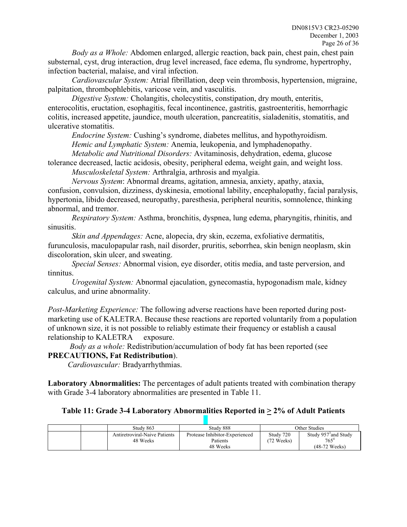*Body as a Whole:* Abdomen enlarged, allergic reaction, back pain, chest pain, chest pain substernal, cyst, drug interaction, drug level increased, face edema, flu syndrome, hypertrophy, infection bacterial, malaise, and viral infection.

*Cardiovascular System:* Atrial fibrillation, deep vein thrombosis, hypertension, migraine, palpitation, thrombophlebitis, varicose vein, and vasculitis.

*Digestive System:* Cholangitis, cholecystitis, constipation, dry mouth, enteritis, enterocolitis, eructation, esophagitis, fecal incontinence, gastritis, gastroenteritis, hemorrhagic colitis, increased appetite, jaundice, mouth ulceration, pancreatitis, sialadenitis, stomatitis, and ulcerative stomatitis.

*Endocrine System:* Cushing's syndrome, diabetes mellitus, and hypothyroidism. *Hemic and Lymphatic System:* Anemia, leukopenia, and lymphadenopathy.

*Metabolic and Nutritional Disorders:* Avitaminosis, dehydration, edema, glucose tolerance decreased, lactic acidosis, obesity, peripheral edema, weight gain, and weight loss.

*Musculoskeletal System:* Arthralgia, arthrosis and myalgia.

*Nervous System*: Abnormal dreams, agitation, amnesia, anxiety, apathy, ataxia, confusion, convulsion, dizziness, dyskinesia, emotional lability, encephalopathy, facial paralysis, hypertonia, libido decreased, neuropathy, paresthesia, peripheral neuritis, somnolence, thinking abnormal, and tremor.

*Respiratory System:* Asthma, bronchitis, dyspnea, lung edema, pharyngitis, rhinitis, and sinusitis.

*Skin and Appendages:* Acne, alopecia, dry skin, eczema, exfoliative dermatitis, furunculosis, maculopapular rash, nail disorder, pruritis, seborrhea, skin benign neoplasm, skin discoloration, skin ulcer, and sweating.

*Special Senses:* Abnormal vision, eye disorder, otitis media, and taste perversion, and tinnitus.

*Urogenital System:* Abnormal ejaculation, gynecomastia, hypogonadism male, kidney calculus, and urine abnormality.

*Post-Marketing Experience:* The following adverse reactions have been reported during postmarketing use of KALETRA. Because these reactions are reported voluntarily from a population of unknown size, it is not possible to reliably estimate their frequency or establish a causal relationship to KALETRA exposure.

 *Body as a whole:* Redistribution/accumulation of body fat has been reported (see **PRECAUTIONS, Fat Redistribution**).

 *Cardiovascular:* Bradyarrhythmias.

**Laboratory Abnormalities:** The percentages of adult patients treated with combination therapy with Grade 3-4 laboratory abnormalities are presented in Table 11.

#### **Table 11: Grade 3-4 Laboratory Abnormalities Reported in > 2% of Adult Patients**

| Study 863                                        | Study 888                                              |                         | Other Studies                                                  |
|--------------------------------------------------|--------------------------------------------------------|-------------------------|----------------------------------------------------------------|
| <b>Antiretroviral-Naive Patients</b><br>48 Weeks | Protease Inhibitor-Experienced<br>Patients<br>48 Weeks | Study 720<br>(72 Weeks) | Study 957 <sup>3</sup> and Study<br>$765^{4}$<br>(48-72 Weeks) |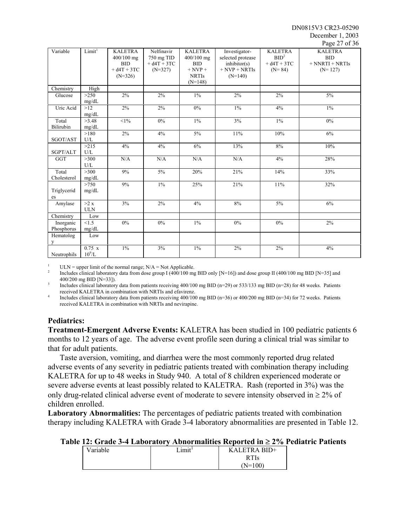DN0815V3 CR23-05290

|             |                    |                |               |                |                   |                  | $1$ age $2/01$ JV   |
|-------------|--------------------|----------------|---------------|----------------|-------------------|------------------|---------------------|
| Variable    | Limit <sup>1</sup> | <b>KALETRA</b> | Nelfinavir    | <b>KALETRA</b> | Investigator-     | <b>KALETRA</b>   | <b>KALETRA</b>      |
|             |                    | $400/100$ mg   | 750 mg TID    | $400/100$ mg   | selected protease | BID <sup>2</sup> | <b>BID</b>          |
|             |                    | <b>BID</b>     | $+ d4T + 3TC$ | <b>BID</b>     | inhibitor(s)      | $+ d4T + 3TC$    | $+$ NNRTI $+$ NRTIs |
|             |                    | $+ d4T + 3TC$  | $(N=327)$     | $+ NVP +$      | $+ NVP + NRTIs$   | $(N = 84)$       | $(N=127)$           |
|             |                    | $(N=326)$      |               | <b>NRTIs</b>   | $(N=140)$         |                  |                     |
|             |                    |                |               | $(N=148)$      |                   |                  |                     |
| Chemistry   | High               |                |               |                |                   |                  |                     |
| Glucose     | >250               | 2%             | 2%            | $1\%$          | 2%                | 2%               | $5\%$               |
|             | mg/dL              |                |               |                |                   |                  |                     |
| Uric Acid   | >12                | 2%             | 2%            | 0%             | $1\%$             | 4%               | $1\%$               |
|             | mg/dL              |                |               |                |                   |                  |                     |
| Total       | >3.48              | $<1\%$         | $0\%$         | $1\%$          | 3%                | $1\%$            | $0\%$               |
| Bilirubin   | mg/dL              |                |               |                |                   |                  |                     |
|             | >180               | 2%             | 4%            | 5%             | 11%               | 10%              | 6%                  |
| SGOT/AST    | U/L                |                |               |                |                   |                  |                     |
|             | >215               | 4%             | 4%            | 6%             | 13%               | $8\%$            | 10%                 |
| SGPT/ALT    | U/L                |                |               |                |                   |                  |                     |
| GGT         | >300               | N/A            | N/A           | N/A            | N/A               | 4%               | 28%                 |
|             | U/L                |                |               |                |                   |                  |                     |
| Total       | >300               | 9%             | $5\%$         | 20%            | 21%               | 14%              | 33%                 |
| Cholesterol | mg/dL              |                |               |                |                   |                  |                     |
|             | >750               | $9\%$          | $1\%$         | 25%            | 21%               | 11%              | 32%                 |
| Triglycerid | mg/dL              |                |               |                |                   |                  |                     |
| es          |                    |                |               |                |                   |                  |                     |
| Amylase     | >2x                | 3%             | 2%            | 4%             | 8%                | 5%               | 6%                  |
|             | <b>ULN</b>         |                |               |                |                   |                  |                     |
| Chemistry   | Low                |                |               |                |                   |                  |                     |
| Inorganic   | < 1.5              | $0\%$          | 0%            | $1\%$          | $0\%$             | $0\%$            | 2%                  |
| Phosphorus  | mg/dL              |                |               |                |                   |                  |                     |
| Hematolog   | Low                |                |               |                |                   |                  |                     |
|             |                    |                |               |                |                   |                  |                     |
|             | $0.75 \times$      | $1\%$          | 3%            | $1\%$          | $2\%$             | 2%               | 4%                  |
| Neutrophils | $10^9$ /L          |                |               |                |                   |                  |                     |

<sup>1</sup> ULN = upper limit of the normal range;  $N/A = Not$  Applicable.

Includes clinical laboratory data from dose group I (400/100 mg BID only [N=16]) and dose group II (400/100 mg BID [N=35] and 400/200 mg BID [N=33]).

Includes clinical laboratory data from patients receiving 400/100 mg BID (n=29) or 533/133 mg BID (n=28) for 48 weeks. Patients received KALETRA in combination with NRTIs and efavirenz.

<sup>4</sup> Includes clinical laboratory data from patients receiving 400/100 mg BID (n=36) or 400/200 mg BID (n=34) for 72 weeks. Patients received KALETRA in combination with NRTIs and nevirapine.

#### **Pediatrics:**

**Treatment-Emergent Adverse Events:** KALETRA has been studied in 100 pediatric patients 6 months to 12 years of age. The adverse event profile seen during a clinical trial was similar to that for adult patients.

Taste aversion, vomiting, and diarrhea were the most commonly reported drug related adverse events of any severity in pediatric patients treated with combination therapy including KALETRA for up to 48 weeks in Study 940. A total of 8 children experienced moderate or severe adverse events at least possibly related to KALETRA. Rash (reported in 3%) was the only drug-related clinical adverse event of moderate to severe intensity observed in  $\geq 2\%$  of children enrolled.

**Laboratory Abnormalities:** The percentages of pediatric patients treated with combination therapy including KALETRA with Grade 3-4 laboratory abnormalities are presented in Table 12.

| Variable | $\tau$ imit | $KAIETRA BID+$ |
|----------|-------------|----------------|
|          |             |                |
|          |             | $(N=100)$      |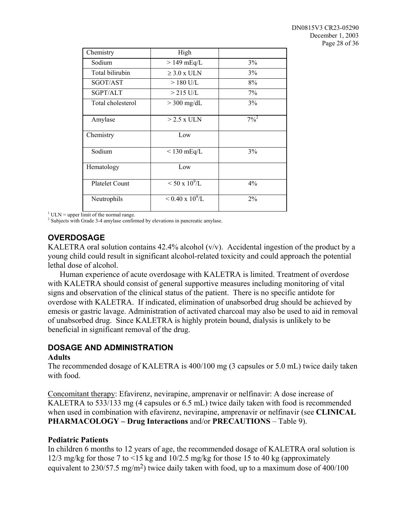| Chemistry         | High                        |           |
|-------------------|-----------------------------|-----------|
| Sodium            | $>149$ mEq/L                | 3%        |
| Total bilirubin   | $\geq$ 3.0 x ULN            | 3%        |
| SGOT/AST          | $>180$ U/L                  | 8%        |
| SGPT/ALT          | $>$ 215 U/L                 | 7%        |
| Total cholesterol | $>$ 300 mg/dL               | 3%        |
| Amylase           | $>$ 2.5 x ULN               | $70^{-2}$ |
| Chemistry         | Low                         |           |
| Sodium            | $<$ 130 mEq/L               | 3%        |
| Hematology        | Low                         |           |
| Platelet Count    | $\rm < 50 \times 10^{9}/L$  | 4%        |
| Neutrophils       | $\rm 0.40 \times 10^{9}$ /L | $2\%$     |

 $<sup>1</sup> **ULN** = **upper limit of the normal range.**$ </sup>

<sup>2</sup> Subjects with Grade 3-4 amylase confirmed by elevations in pancreatic amylase.

## **OVERDOSAGE**

KALETRA oral solution contains 42.4% alcohol (v/v). Accidental ingestion of the product by a young child could result in significant alcohol-related toxicity and could approach the potential lethal dose of alcohol.

Human experience of acute overdosage with KALETRA is limited. Treatment of overdose with KALETRA should consist of general supportive measures including monitoring of vital signs and observation of the clinical status of the patient. There is no specific antidote for overdose with KALETRA. If indicated, elimination of unabsorbed drug should be achieved by emesis or gastric lavage. Administration of activated charcoal may also be used to aid in removal of unabsorbed drug. Since KALETRA is highly protein bound, dialysis is unlikely to be beneficial in significant removal of the drug.

## **DOSAGE AND ADMINISTRATION**

#### **Adults**

The recommended dosage of KALETRA is 400/100 mg (3 capsules or 5.0 mL) twice daily taken with food.

Concomitant therapy: Efavirenz, nevirapine, amprenavir or nelfinavir: A dose increase of KALETRA to 533/133 mg (4 capsules or 6.5 mL) twice daily taken with food is recommended when used in combination with efavirenz, nevirapine, amprenavir or nelfinavir (see **CLINICAL PHARMACOLOGY – Drug Interactions** and/or **PRECAUTIONS** – Table 9).

## **Pediatric Patients**

In children 6 months to 12 years of age, the recommended dosage of KALETRA oral solution is 12/3 mg/kg for those 7 to <15 kg and 10/2.5 mg/kg for those 15 to 40 kg (approximately equivalent to 230/57.5 mg/m2) twice daily taken with food, up to a maximum dose of 400/100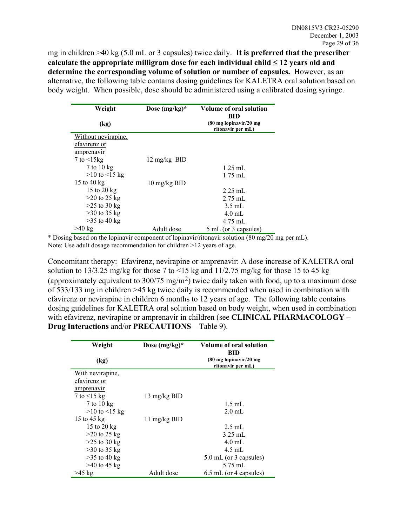mg in children >40 kg (5.0 mL or 3 capsules) twice daily. **It is preferred that the prescriber calculate the appropriate milligram dose for each individual child** ≤ **12 years old and determine the corresponding volume of solution or number of capsules.** However, as an alternative, the following table contains dosing guidelines for KALETRA oral solution based on body weight. When possible, dose should be administered using a calibrated dosing syringe.

| Weight              | Dose $(mg/kg)^*$ | Volume of oral solution<br>BID              |
|---------------------|------------------|---------------------------------------------|
| (kg)                |                  | (80 mg lopinavir/20 mg<br>ritonavir per mL) |
| Without nevirapine, |                  |                                             |
| efavirenz or        |                  |                                             |
| amprenavir          |                  |                                             |
| 7 to $\leq$ 15 $kg$ | 12 mg/kg BID     |                                             |
| $7$ to $10$ kg      |                  | $1.25 \text{ mL}$                           |
| $>10$ to $<15$ kg   |                  | $1.75$ mL                                   |
| 15 to 40 $kg$       | 10 mg/kg BID     |                                             |
| 15 to 20 kg         |                  | $2.25 \text{ mL}$                           |
| $>20$ to 25 kg      |                  | $2.75 \text{ mL}$                           |
| $>25$ to 30 kg      |                  | $3.5$ mL                                    |
| $>30$ to 35 kg      |                  | $4.0$ mL                                    |
| $>35$ to 40 kg      |                  | $4.75$ mL                                   |
| $>40$ kg            | Adult dose       | 5 mL (or 3 capsules)                        |

\* Dosing based on the lopinavir component of lopinavir/ritonavir solution (80 mg/20 mg per mL). Note: Use adult dosage recommendation for children >12 years of age.

Concomitant therapy: Efavirenz, nevirapine or amprenavir: A dose increase of KALETRA oral solution to 13/3.25 mg/kg for those 7 to <15 kg and 11/2.75 mg/kg for those 15 to 45 kg (approximately equivalent to  $300/75$  mg/m<sup>2</sup>) twice daily taken with food, up to a maximum dose of 533/133 mg in children >45 kg twice daily is recommended when used in combination with efavirenz or nevirapine in children 6 months to 12 years of age. The following table contains dosing guidelines for KALETRA oral solution based on body weight, when used in combination with efavirenz, nevirapine or amprenavir in children (see **CLINICAL PHARMACOLOGY – Drug Interactions** and/or **PRECAUTIONS** – Table 9).

| Weight                 | Dose $(mg/kg)^*$ | Volume of oral solution<br>BID              |
|------------------------|------------------|---------------------------------------------|
| (kg)                   |                  | (80 mg lopinavir/20 mg<br>ritonavir per mL) |
| With nevirapine,       |                  |                                             |
| efavirenz or           |                  |                                             |
| amprenavir             |                  |                                             |
| 7 to $\leq$ 15 kg      | 13 mg/kg BID     |                                             |
| $7$ to $10 \text{ kg}$ |                  | $1.5$ mL                                    |
| $>10$ to $<15$ kg      |                  | $2.0$ mL                                    |
| 15 to 45 kg            | 11 mg/kg BID     |                                             |
| 15 to 20 kg            |                  | $2.5 \text{ mL}$                            |
| $>20$ to 25 kg         |                  | $3.25 \text{ mL}$                           |
| $>25$ to 30 kg         |                  | $4.0$ mL                                    |
| $>30$ to 35 kg         |                  | $4.5$ mL                                    |
| $>35$ to 40 kg         |                  | 5.0 mL (or 3 capsules)                      |
| $>40$ to 45 kg         |                  | $5.75$ mL                                   |
| $>45$ kg               | Adult dose       | $6.5$ mL (or 4 capsules)                    |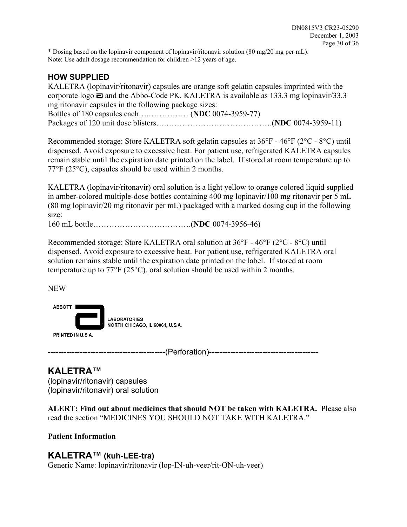\* Dosing based on the lopinavir component of lopinavir/ritonavir solution (80 mg/20 mg per mL). Note: Use adult dosage recommendation for children >12 years of age.

## **HOW SUPPLIED**

KALETRA (lopinavir/ritonavir) capsules are orange soft gelatin capsules imprinted with the corporate logo  $\equiv$  and the Abbo-Code PK. KALETRA is available as 133.3 mg lopinavir/33.3 mg ritonavir capsules in the following package sizes: Bottles of 180 capsules each….…………… (**NDC** 0074-3959-77) Packages of 120 unit dose blisters….………………………………….(**NDC** 0074-3959-11)

Recommended storage: Store KALETRA soft gelatin capsules at 36°F - 46°F (2°C - 8°C) until dispensed. Avoid exposure to excessive heat. For patient use, refrigerated KALETRA capsules remain stable until the expiration date printed on the label. If stored at room temperature up to 77°F (25°C), capsules should be used within 2 months.

KALETRA (lopinavir/ritonavir) oral solution is a light yellow to orange colored liquid supplied in amber-colored multiple-dose bottles containing 400 mg lopinavir/100 mg ritonavir per 5 mL (80 mg lopinavir/20 mg ritonavir per mL) packaged with a marked dosing cup in the following size:

160 mL bottle……………………………….(**NDC** 0074-3956-46)

Recommended storage: Store KALETRA oral solution at 36°F - 46°F (2°C - 8°C) until dispensed. Avoid exposure to excessive heat. For patient use, refrigerated KALETRA oral solution remains stable until the expiration date printed on the label. If stored at room temperature up to 77°F (25°C), oral solution should be used within 2 months.

NEW



--------------------------------------------(Perforation)-----------------------------------------

# **KALETRA™**

(lopinavir/ritonavir) capsules (lopinavir/ritonavir) oral solution

**ALERT: Find out about medicines that should NOT be taken with KALETRA.** Please also read the section "MEDICINES YOU SHOULD NOT TAKE WITH KALETRA."

## **Patient Information**

## **KALETRA™ (kuh-LEE-tra)**

Generic Name: lopinavir/ritonavir (lop-IN-uh-veer/rit-ON-uh-veer)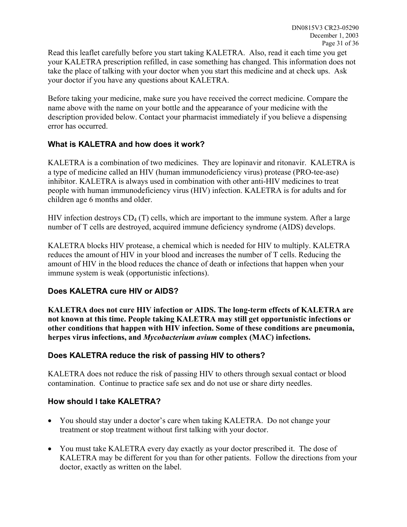Read this leaflet carefully before you start taking KALETRA. Also, read it each time you get your KALETRA prescription refilled, in case something has changed. This information does not take the place of talking with your doctor when you start this medicine and at check ups. Ask your doctor if you have any questions about KALETRA.

Before taking your medicine, make sure you have received the correct medicine. Compare the name above with the name on your bottle and the appearance of your medicine with the description provided below. Contact your pharmacist immediately if you believe a dispensing error has occurred.

## **What is KALETRA and how does it work?**

KALETRA is a combination of two medicines. They are lopinavir and ritonavir. KALETRA is a type of medicine called an HIV (human immunodeficiency virus) protease (PRO-tee-ase) inhibitor. KALETRA is always used in combination with other anti-HIV medicines to treat people with human immunodeficiency virus (HIV) infection. KALETRA is for adults and for children age 6 months and older.

HIV infection destroys  $CD_4(T)$  cells, which are important to the immune system. After a large number of T cells are destroyed, acquired immune deficiency syndrome (AIDS) develops.

KALETRA blocks HIV protease, a chemical which is needed for HIV to multiply. KALETRA reduces the amount of HIV in your blood and increases the number of T cells. Reducing the amount of HIV in the blood reduces the chance of death or infections that happen when your immune system is weak (opportunistic infections).

## **Does KALETRA cure HIV or AIDS?**

**KALETRA does not cure HIV infection or AIDS. The long-term effects of KALETRA are not known at this time. People taking KALETRA may still get opportunistic infections or other conditions that happen with HIV infection. Some of these conditions are pneumonia, herpes virus infections, and** *Mycobacterium avium* **complex (MAC) infections.**

# **Does KALETRA reduce the risk of passing HIV to others?**

KALETRA does not reduce the risk of passing HIV to others through sexual contact or blood contamination. Continue to practice safe sex and do not use or share dirty needles.

## **How should I take KALETRA?**

- You should stay under a doctor's care when taking KALETRA. Do not change your treatment or stop treatment without first talking with your doctor.
- You must take KALETRA every day exactly as your doctor prescribed it. The dose of KALETRA may be different for you than for other patients. Follow the directions from your doctor, exactly as written on the label.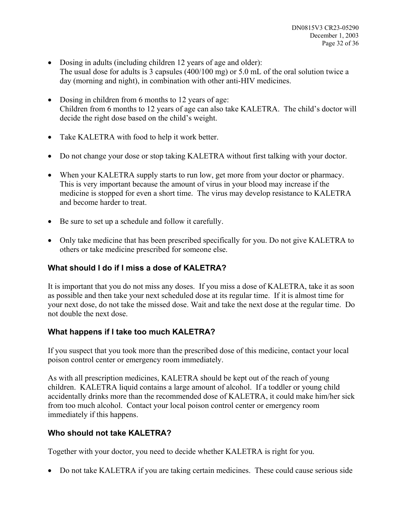- Dosing in adults (including children 12 years of age and older): The usual dose for adults is 3 capsules (400/100 mg) or 5.0 mL of the oral solution twice a day (morning and night), in combination with other anti-HIV medicines.
- Dosing in children from 6 months to 12 years of age: Children from 6 months to 12 years of age can also take KALETRA. The child's doctor will decide the right dose based on the child's weight.
- Take KALETRA with food to help it work better.
- Do not change your dose or stop taking KALETRA without first talking with your doctor.
- When your KALETRA supply starts to run low, get more from your doctor or pharmacy. This is very important because the amount of virus in your blood may increase if the medicine is stopped for even a short time. The virus may develop resistance to KALETRA and become harder to treat.
- Be sure to set up a schedule and follow it carefully.
- Only take medicine that has been prescribed specifically for you. Do not give KALETRA to others or take medicine prescribed for someone else.

## **What should I do if I miss a dose of KALETRA?**

It is important that you do not miss any doses. If you miss a dose of KALETRA, take it as soon as possible and then take your next scheduled dose at its regular time. If it is almost time for your next dose, do not take the missed dose. Wait and take the next dose at the regular time. Do not double the next dose.

## **What happens if I take too much KALETRA?**

If you suspect that you took more than the prescribed dose of this medicine, contact your local poison control center or emergency room immediately.

As with all prescription medicines, KALETRA should be kept out of the reach of young children. KALETRA liquid contains a large amount of alcohol. If a toddler or young child accidentally drinks more than the recommended dose of KALETRA, it could make him/her sick from too much alcohol. Contact your local poison control center or emergency room immediately if this happens.

## **Who should not take KALETRA?**

Together with your doctor, you need to decide whether KALETRA is right for you.

• Do not take KALETRA if you are taking certain medicines. These could cause serious side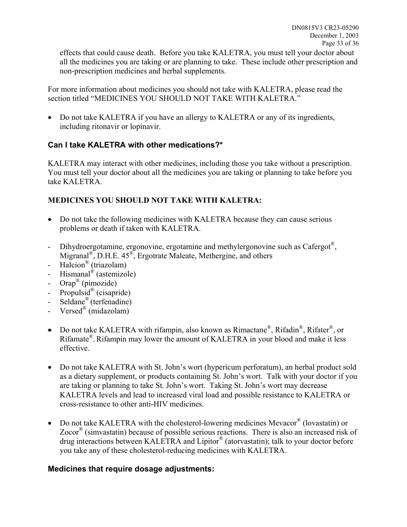effects that could cause death. Before you take KALETRA, you must tell your doctor about all the medicines you are taking or are planning to take. These include other prescription and non-prescription medicines and herbal supplements.

For more information about medicines you should not take with KALETRA, please read the section titled "MEDICINES YOU SHOULD NOT TAKE WITH KALETRA."

• Do not take KALETRA if you have an allergy to KALETRA or any of its ingredients, including ritonavir or lopinavir.

# **Can I take KALETRA with other medications?\***

KALETRA may interact with other medicines, including those you take without a prescription. You must tell your doctor about all the medicines you are taking or planning to take before you take KALETRA.

## **MEDICINES YOU SHOULD NOT TAKE WITH KALETRA:**

- Do not take the following medicines with KALETRA because they can cause serious problems or death if taken with KALETRA.
- Dihydroergotamine, ergonovine, ergotamine and methylergonovine such as Cafergot<sup>®</sup>, Migranal®, D.H.E. 45®, Ergotrate Maleate, Methergine, and others
- Halcion<sup>®</sup> (triazolam)
- $Hismanal^@$  (astemizole)
- Orap<sup>®</sup> (pimozide)
- Propulsid<sup>®</sup> (cisapride)
- Seldane<sup>®</sup> (terfenadine)
- Versed<sup>®</sup> (midazolam)
- Do not take KALETRA with rifampin, also known as Rimactane<sup>®</sup>, Rifadin<sup>®</sup>, Rifater<sup>®</sup>, or Rifamate®.Rifampin may lower the amount of KALETRA in your blood and make it less effective.
- Do not take KALETRA with St. John's wort (hypericum perforatum), an herbal product sold as a dietary supplement, or products containing St. John's wort. Talk with your doctor if you are taking or planning to take St. John's wort. Taking St. John's wort may decrease KALETRA levels and lead to increased viral load and possible resistance to KALETRA or cross-resistance to other anti-HIV medicines.
- Do not take KALETRA with the cholesterol-lowering medicines Mevacor<sup>®</sup> (lovastatin) or Zocor® (simvastatin) because of possible serious reactions. There is also an increased risk of drug interactions between KALETRA and Lipitor® (atorvastatin); talk to your doctor before you take any of these cholesterol-reducing medicines with KALETRA.

# **Medicines that require dosage adjustments:**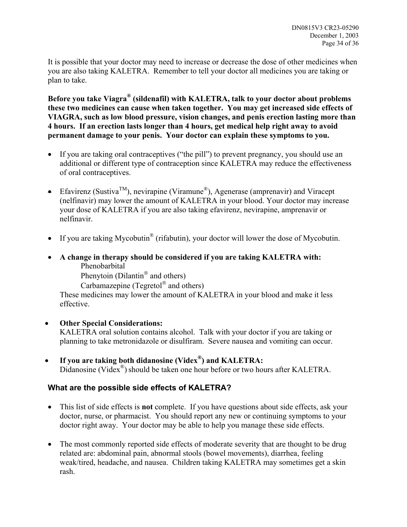It is possible that your doctor may need to increase or decrease the dose of other medicines when you are also taking KALETRA. Remember to tell your doctor all medicines you are taking or plan to take.

**Before you take Viagra® (sildenafil) with KALETRA, talk to your doctor about problems these two medicines can cause when taken together. You may get increased side effects of VIAGRA, such as low blood pressure, vision changes, and penis erection lasting more than 4 hours. If an erection lasts longer than 4 hours, get medical help right away to avoid permanent damage to your penis. Your doctor can explain these symptoms to you.**

- If you are taking oral contraceptives ("the pill") to prevent pregnancy, you should use an additional or different type of contraception since KALETRA may reduce the effectiveness of oral contraceptives.
- Efavirenz (Sustiva<sup>TM</sup>), nevirapine (Viramune<sup>®</sup>), Agenerase (amprenavir) and Viracept (nelfinavir) may lower the amount of KALETRA in your blood. Your doctor may increase your dose of KALETRA if you are also taking efavirenz, nevirapine, amprenavir or nelfinavir.
- If you are taking Mycobutin<sup>®</sup> (rifabutin), your doctor will lower the dose of Mycobutin.
- **A change in therapy should be considered if you are taking KALETRA with:** Phenobarbital
	- Phenytoin (Dilantin<sup>®</sup> and others)
	- Carbamazepine (Tegretol $^{\circ}$  and others)

These medicines may lower the amount of KALETRA in your blood and make it less effective.

- **Other Special Considerations:** KALETRA oral solution contains alcohol. Talk with your doctor if you are taking or planning to take metronidazole or disulfiram. Severe nausea and vomiting can occur.
- **If you are taking both didanosine (Videx®) and KALETRA:** Didanosine (Videx<sup>®</sup>) should be taken one hour before or two hours after KALETRA.

## **What are the possible side effects of KALETRA?**

- This list of side effects is **not** complete. If you have questions about side effects, ask your doctor, nurse, or pharmacist. You should report any new or continuing symptoms to your doctor right away. Your doctor may be able to help you manage these side effects.
- The most commonly reported side effects of moderate severity that are thought to be drug related are: abdominal pain, abnormal stools (bowel movements), diarrhea, feeling weak/tired, headache, and nausea. Children taking KALETRA may sometimes get a skin rash.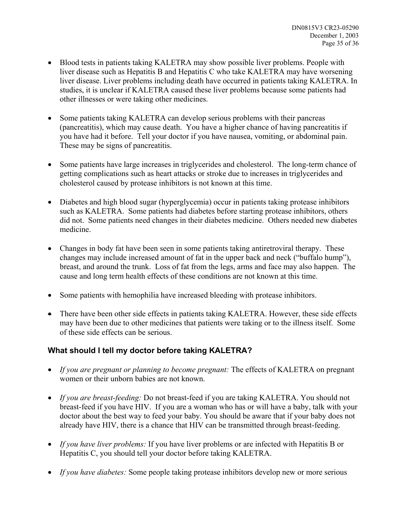- Blood tests in patients taking KALETRA may show possible liver problems. People with liver disease such as Hepatitis B and Hepatitis C who take KALETRA may have worsening liver disease. Liver problems including death have occurred in patients taking KALETRA. In studies, it is unclear if KALETRA caused these liver problems because some patients had other illnesses or were taking other medicines.
- Some patients taking KALETRA can develop serious problems with their pancreas (pancreatitis), which may cause death. You have a higher chance of having pancreatitis if you have had it before. Tell your doctor if you have nausea, vomiting, or abdominal pain. These may be signs of pancreatitis.
- Some patients have large increases in triglycerides and cholesterol. The long-term chance of getting complications such as heart attacks or stroke due to increases in triglycerides and cholesterol caused by protease inhibitors is not known at this time.
- Diabetes and high blood sugar (hyperglycemia) occur in patients taking protease inhibitors such as KALETRA. Some patients had diabetes before starting protease inhibitors, others did not. Some patients need changes in their diabetes medicine. Others needed new diabetes medicine.
- Changes in body fat have been seen in some patients taking antiretroviral therapy. These changes may include increased amount of fat in the upper back and neck ("buffalo hump"), breast, and around the trunk. Loss of fat from the legs, arms and face may also happen. The cause and long term health effects of these conditions are not known at this time.
- Some patients with hemophilia have increased bleeding with protease inhibitors.
- There have been other side effects in patients taking KALETRA. However, these side effects may have been due to other medicines that patients were taking or to the illness itself. Some of these side effects can be serious.

# **What should I tell my doctor before taking KALETRA?**

- *If you are pregnant or planning to become pregnant:* The effects of KALETRA on pregnant women or their unborn babies are not known.
- *If you are breast-feeding:* Do not breast-feed if you are taking KALETRA. You should not breast-feed if you have HIV. If you are a woman who has or will have a baby, talk with your doctor about the best way to feed your baby. You should be aware that if your baby does not already have HIV, there is a chance that HIV can be transmitted through breast-feeding.
- *If you have liver problems:* If you have liver problems or are infected with Hepatitis B or Hepatitis C, you should tell your doctor before taking KALETRA.
- *If you have diabetes:* Some people taking protease inhibitors develop new or more serious